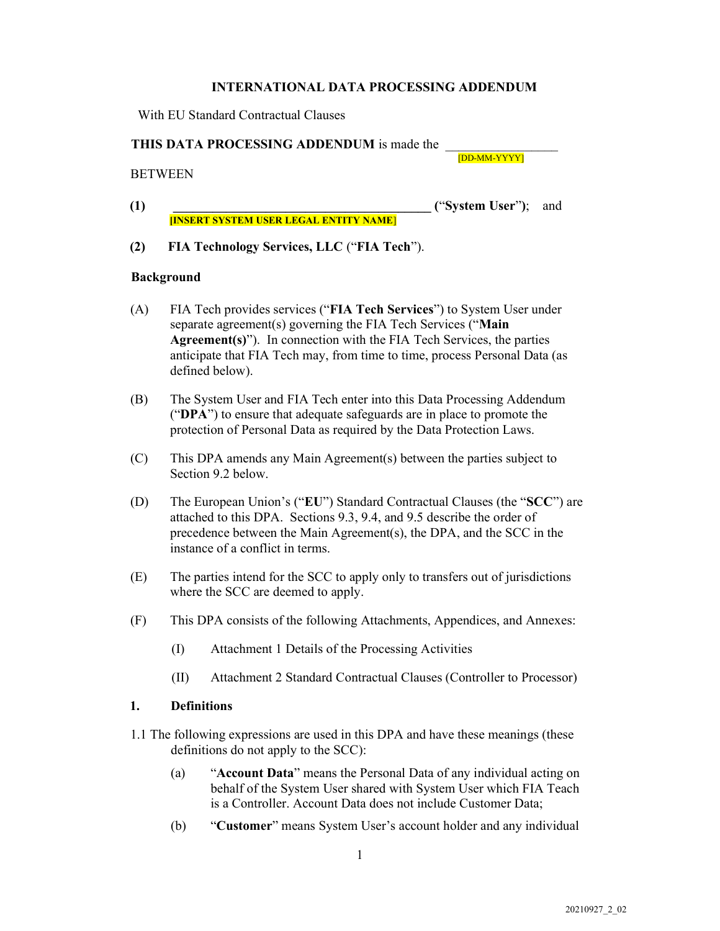# INTERNATIONAL DATA PROCESSING ADDENDUM

With EU Standard Contractual Clauses

THIS DATA PROCESSING ADDENDUM is made the

[DD-MM-YYYY]

# **BETWEEN**

- $(1)$   $($ "System User"); and [INSERT SYSTEM USER LEGAL ENTITY NAME]
- (2) FIA Technology Services, LLC ("FIA Tech").

#### Background

- (A) FIA Tech provides services ("FIA Tech Services") to System User under separate agreement(s) governing the FIA Tech Services ("Main Agreement(s)"). In connection with the FIA Tech Services, the parties anticipate that FIA Tech may, from time to time, process Personal Data (as defined below).
- (B) The System User and FIA Tech enter into this Data Processing Addendum ("DPA") to ensure that adequate safeguards are in place to promote the protection of Personal Data as required by the Data Protection Laws.
- (C) This DPA amends any Main Agreement(s) between the parties subject to Section 9.2 below.
- (D) The European Union's ("EU") Standard Contractual Clauses (the "SCC") are attached to this DPA. Sections 9.3, 9.4, and 9.5 describe the order of precedence between the Main Agreement(s), the DPA, and the SCC in the instance of a conflict in terms.
- (E) The parties intend for the SCC to apply only to transfers out of jurisdictions where the SCC are deemed to apply.
- (F) This DPA consists of the following Attachments, Appendices, and Annexes:
	- (I) Attachment 1 Details of the Processing Activities
	- (II) Attachment 2 Standard Contractual Clauses (Controller to Processor)

#### 1. Definitions

- 1.1 The following expressions are used in this DPA and have these meanings (these definitions do not apply to the SCC):
	- (a) "Account Data" means the Personal Data of any individual acting on behalf of the System User shared with System User which FIA Teach is a Controller. Account Data does not include Customer Data;
	- (b) "Customer" means System User's account holder and any individual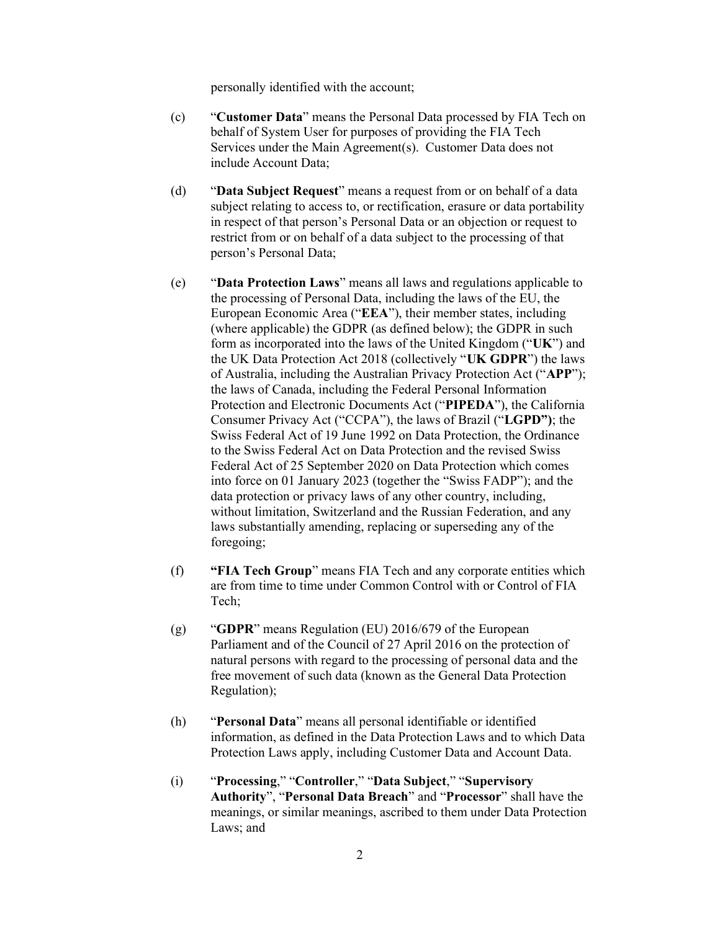personally identified with the account;

- (c) "Customer Data" means the Personal Data processed by FIA Tech on behalf of System User for purposes of providing the FIA Tech Services under the Main Agreement(s). Customer Data does not include Account Data;
- (d) "Data Subject Request" means a request from or on behalf of a data subject relating to access to, or rectification, erasure or data portability in respect of that person's Personal Data or an objection or request to restrict from or on behalf of a data subject to the processing of that person's Personal Data;
- (e) "Data Protection Laws" means all laws and regulations applicable to the processing of Personal Data, including the laws of the EU, the European Economic Area ("EEA"), their member states, including (where applicable) the GDPR (as defined below); the GDPR in such form as incorporated into the laws of the United Kingdom ("UK") and the UK Data Protection Act 2018 (collectively "UK GDPR") the laws of Australia, including the Australian Privacy Protection Act ("APP"); the laws of Canada, including the Federal Personal Information Protection and Electronic Documents Act ("PIPEDA"), the California Consumer Privacy Act ("CCPA"), the laws of Brazil ("LGPD"); the Swiss Federal Act of 19 June 1992 on Data Protection, the Ordinance to the Swiss Federal Act on Data Protection and the revised Swiss Federal Act of 25 September 2020 on Data Protection which comes into force on 01 January 2023 (together the "Swiss FADP"); and the data protection or privacy laws of any other country, including, without limitation, Switzerland and the Russian Federation, and any laws substantially amending, replacing or superseding any of the foregoing;
- (f) "FIA Tech Group" means FIA Tech and any corporate entities which are from time to time under Common Control with or Control of FIA Tech;
- (g) "GDPR" means Regulation (EU) 2016/679 of the European Parliament and of the Council of 27 April 2016 on the protection of natural persons with regard to the processing of personal data and the free movement of such data (known as the General Data Protection Regulation);
- (h) "Personal Data" means all personal identifiable or identified information, as defined in the Data Protection Laws and to which Data Protection Laws apply, including Customer Data and Account Data.
- (i) "Processing," "Controller," "Data Subject," "Supervisory Authority", "Personal Data Breach" and "Processor" shall have the meanings, or similar meanings, ascribed to them under Data Protection Laws; and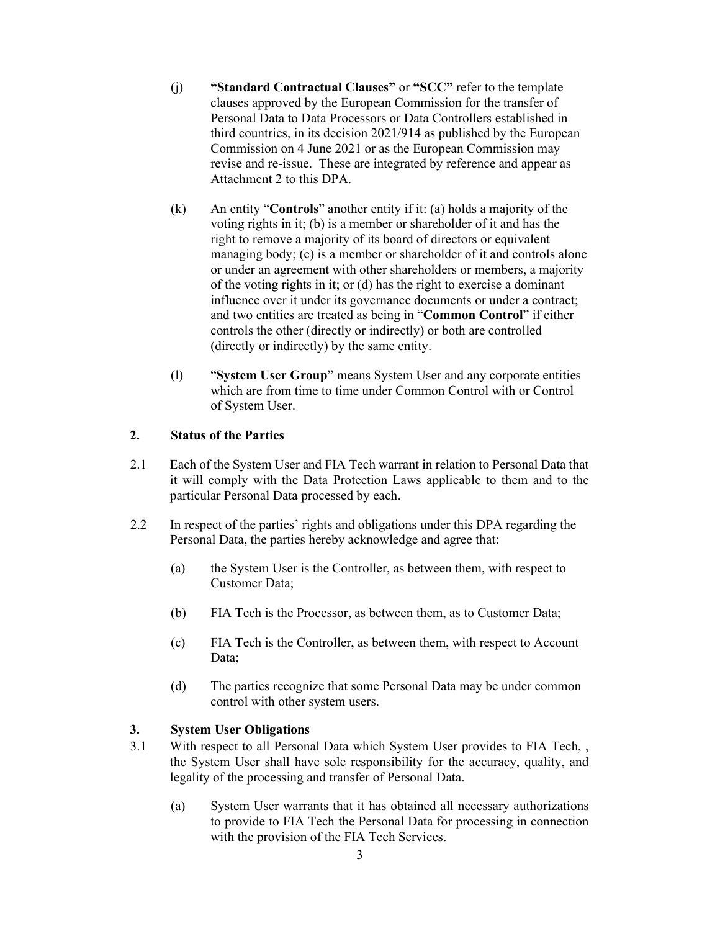- (j) "Standard Contractual Clauses" or "SCC" refer to the template clauses approved by the European Commission for the transfer of Personal Data to Data Processors or Data Controllers established in third countries, in its decision 2021/914 as published by the European Commission on 4 June 2021 or as the European Commission may revise and re-issue. These are integrated by reference and appear as Attachment 2 to this DPA.
- (k) An entity "Controls" another entity if it: (a) holds a majority of the voting rights in it; (b) is a member or shareholder of it and has the right to remove a majority of its board of directors or equivalent managing body; (c) is a member or shareholder of it and controls alone or under an agreement with other shareholders or members, a majority of the voting rights in it; or (d) has the right to exercise a dominant influence over it under its governance documents or under a contract; and two entities are treated as being in "Common Control" if either controls the other (directly or indirectly) or both are controlled (directly or indirectly) by the same entity.
- (l) "System User Group" means System User and any corporate entities which are from time to time under Common Control with or Control of System User.

# 2. Status of the Parties

- 2.1 Each of the System User and FIA Tech warrant in relation to Personal Data that it will comply with the Data Protection Laws applicable to them and to the particular Personal Data processed by each.
- 2.2 In respect of the parties' rights and obligations under this DPA regarding the Personal Data, the parties hereby acknowledge and agree that:
	- (a) the System User is the Controller, as between them, with respect to Customer Data;
	- (b) FIA Tech is the Processor, as between them, as to Customer Data;
	- (c) FIA Tech is the Controller, as between them, with respect to Account Data;
	- (d) The parties recognize that some Personal Data may be under common control with other system users.

# 3. System User Obligations

- 3.1 With respect to all Personal Data which System User provides to FIA Tech, , the System User shall have sole responsibility for the accuracy, quality, and legality of the processing and transfer of Personal Data.
	- (a) System User warrants that it has obtained all necessary authorizations to provide to FIA Tech the Personal Data for processing in connection with the provision of the FIA Tech Services.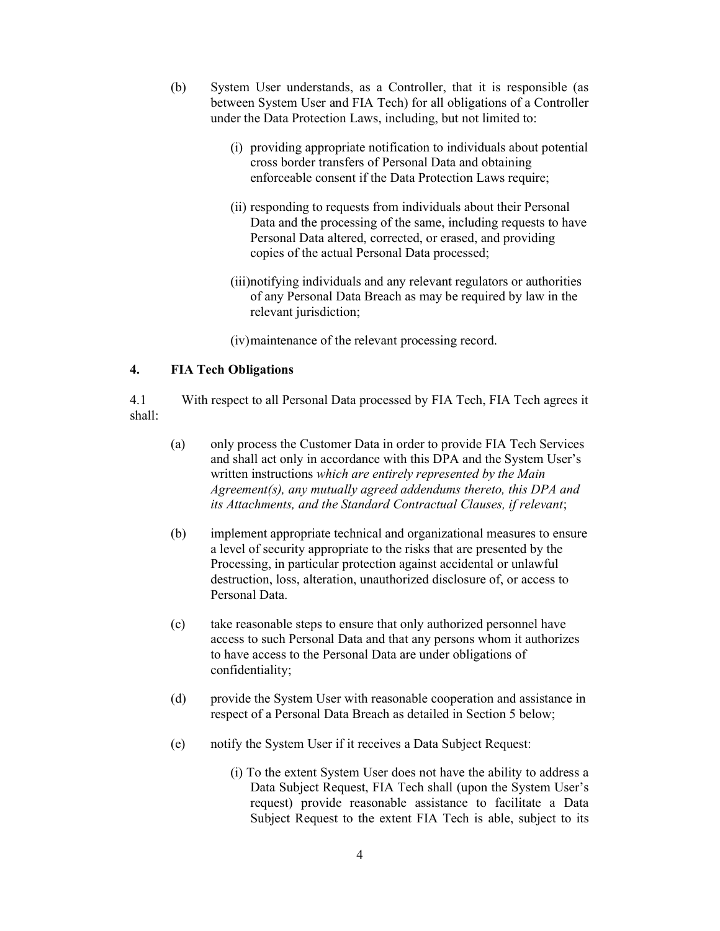- (b) System User understands, as a Controller, that it is responsible (as between System User and FIA Tech) for all obligations of a Controller under the Data Protection Laws, including, but not limited to:
	- (i) providing appropriate notification to individuals about potential cross border transfers of Personal Data and obtaining enforceable consent if the Data Protection Laws require;
	- (ii) responding to requests from individuals about their Personal Data and the processing of the same, including requests to have Personal Data altered, corrected, or erased, and providing copies of the actual Personal Data processed;
	- (iii)notifying individuals and any relevant regulators or authorities of any Personal Data Breach as may be required by law in the relevant jurisdiction;
	- (iv)maintenance of the relevant processing record.

### 4. FIA Tech Obligations

4.1 With respect to all Personal Data processed by FIA Tech, FIA Tech agrees it shall:

- (a) only process the Customer Data in order to provide FIA Tech Services and shall act only in accordance with this DPA and the System User's written instructions which are entirely represented by the Main Agreement(s), any mutually agreed addendums thereto, this DPA and its Attachments, and the Standard Contractual Clauses, if relevant;
- (b) implement appropriate technical and organizational measures to ensure a level of security appropriate to the risks that are presented by the Processing, in particular protection against accidental or unlawful destruction, loss, alteration, unauthorized disclosure of, or access to Personal Data.
- (c) take reasonable steps to ensure that only authorized personnel have access to such Personal Data and that any persons whom it authorizes to have access to the Personal Data are under obligations of confidentiality;
- (d) provide the System User with reasonable cooperation and assistance in respect of a Personal Data Breach as detailed in Section 5 below;
- (e) notify the System User if it receives a Data Subject Request:
	- (i) To the extent System User does not have the ability to address a Data Subject Request, FIA Tech shall (upon the System User's request) provide reasonable assistance to facilitate a Data Subject Request to the extent FIA Tech is able, subject to its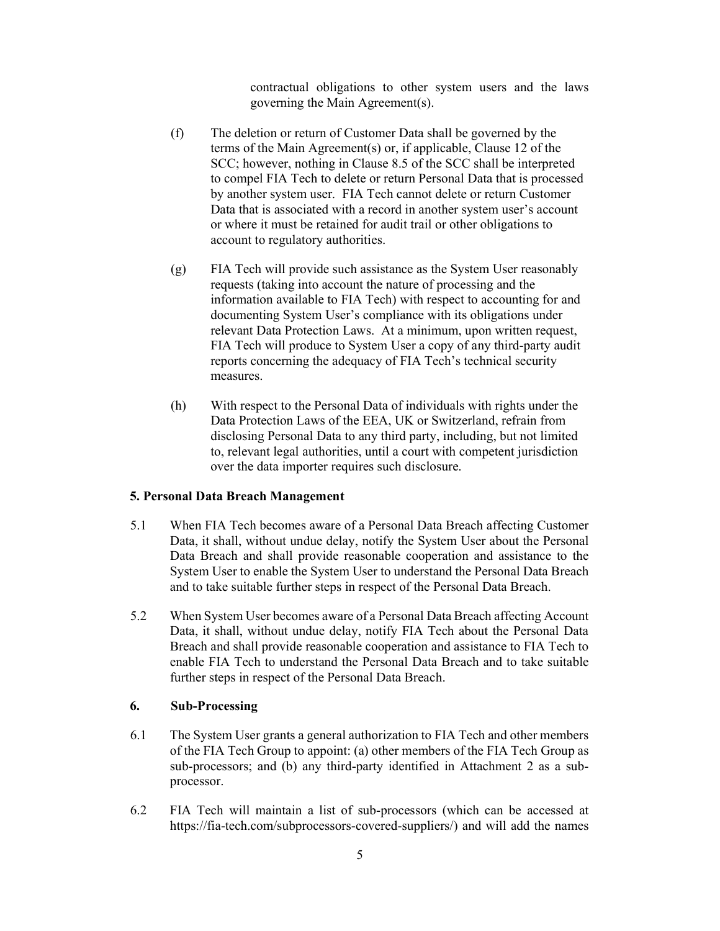contractual obligations to other system users and the laws governing the Main Agreement(s).

- (f) The deletion or return of Customer Data shall be governed by the terms of the Main Agreement(s) or, if applicable, Clause 12 of the SCC; however, nothing in Clause 8.5 of the SCC shall be interpreted to compel FIA Tech to delete or return Personal Data that is processed by another system user. FIA Tech cannot delete or return Customer Data that is associated with a record in another system user's account or where it must be retained for audit trail or other obligations to account to regulatory authorities.
- (g) FIA Tech will provide such assistance as the System User reasonably requests (taking into account the nature of processing and the information available to FIA Tech) with respect to accounting for and documenting System User's compliance with its obligations under relevant Data Protection Laws. At a minimum, upon written request, FIA Tech will produce to System User a copy of any third-party audit reports concerning the adequacy of FIA Tech's technical security measures.
- (h) With respect to the Personal Data of individuals with rights under the Data Protection Laws of the EEA, UK or Switzerland, refrain from disclosing Personal Data to any third party, including, but not limited to, relevant legal authorities, until a court with competent jurisdiction over the data importer requires such disclosure.

#### 5. Personal Data Breach Management

- 5.1 When FIA Tech becomes aware of a Personal Data Breach affecting Customer Data, it shall, without undue delay, notify the System User about the Personal Data Breach and shall provide reasonable cooperation and assistance to the System User to enable the System User to understand the Personal Data Breach and to take suitable further steps in respect of the Personal Data Breach.
- 5.2 When System User becomes aware of a Personal Data Breach affecting Account Data, it shall, without undue delay, notify FIA Tech about the Personal Data Breach and shall provide reasonable cooperation and assistance to FIA Tech to enable FIA Tech to understand the Personal Data Breach and to take suitable further steps in respect of the Personal Data Breach.

## 6. Sub-Processing

- 6.1 The System User grants a general authorization to FIA Tech and other members of the FIA Tech Group to appoint: (a) other members of the FIA Tech Group as sub-processors; and (b) any third-party identified in Attachment 2 as a subprocessor.
- 6.2 FIA Tech will maintain a list of sub-processors (which can be accessed at https://fia-tech.com/subprocessors-covered-suppliers/) and will add the names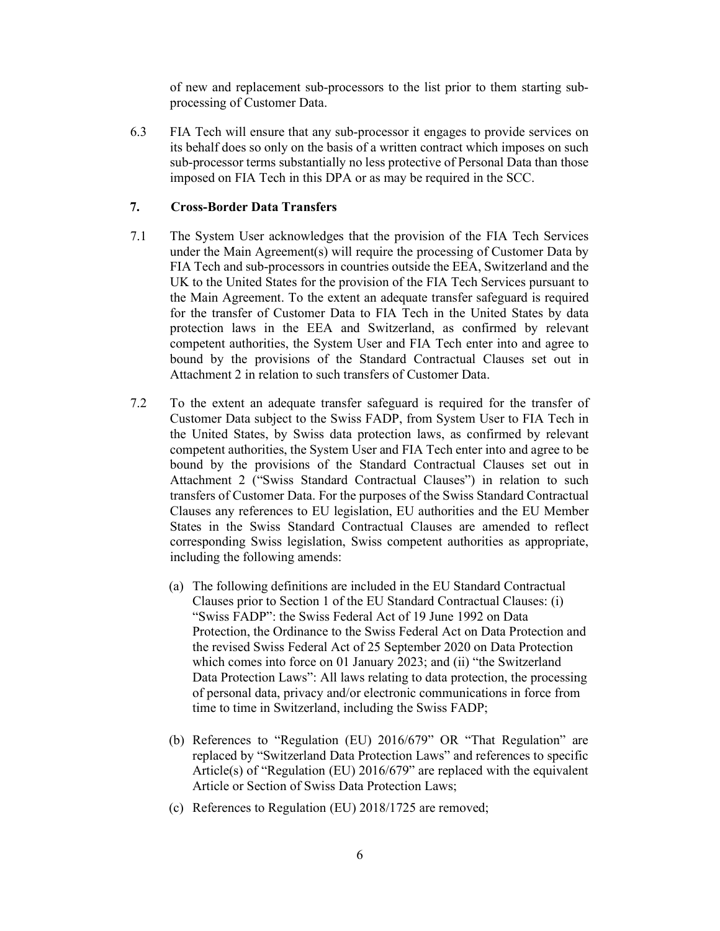of new and replacement sub-processors to the list prior to them starting subprocessing of Customer Data.

6.3 FIA Tech will ensure that any sub-processor it engages to provide services on its behalf does so only on the basis of a written contract which imposes on such sub-processor terms substantially no less protective of Personal Data than those imposed on FIA Tech in this DPA or as may be required in the SCC.

# 7. Cross-Border Data Transfers

- 7.1 The System User acknowledges that the provision of the FIA Tech Services under the Main Agreement(s) will require the processing of Customer Data by FIA Tech and sub-processors in countries outside the EEA, Switzerland and the UK to the United States for the provision of the FIA Tech Services pursuant to the Main Agreement. To the extent an adequate transfer safeguard is required for the transfer of Customer Data to FIA Tech in the United States by data protection laws in the EEA and Switzerland, as confirmed by relevant competent authorities, the System User and FIA Tech enter into and agree to bound by the provisions of the Standard Contractual Clauses set out in Attachment 2 in relation to such transfers of Customer Data.
- 7.2 To the extent an adequate transfer safeguard is required for the transfer of Customer Data subject to the Swiss FADP, from System User to FIA Tech in the United States, by Swiss data protection laws, as confirmed by relevant competent authorities, the System User and FIA Tech enter into and agree to be bound by the provisions of the Standard Contractual Clauses set out in Attachment 2 ("Swiss Standard Contractual Clauses") in relation to such transfers of Customer Data. For the purposes of the Swiss Standard Contractual Clauses any references to EU legislation, EU authorities and the EU Member States in the Swiss Standard Contractual Clauses are amended to reflect corresponding Swiss legislation, Swiss competent authorities as appropriate, including the following amends:
	- (a) The following definitions are included in the EU Standard Contractual Clauses prior to Section 1 of the EU Standard Contractual Clauses: (i) "Swiss FADP": the Swiss Federal Act of 19 June 1992 on Data Protection, the Ordinance to the Swiss Federal Act on Data Protection and the revised Swiss Federal Act of 25 September 2020 on Data Protection which comes into force on 01 January 2023; and (ii) "the Switzerland Data Protection Laws": All laws relating to data protection, the processing of personal data, privacy and/or electronic communications in force from time to time in Switzerland, including the Swiss FADP;
	- (b) References to "Regulation (EU) 2016/679" OR "That Regulation" are replaced by "Switzerland Data Protection Laws" and references to specific Article(s) of "Regulation (EU) 2016/679" are replaced with the equivalent Article or Section of Swiss Data Protection Laws;
	- (c) References to Regulation (EU) 2018/1725 are removed;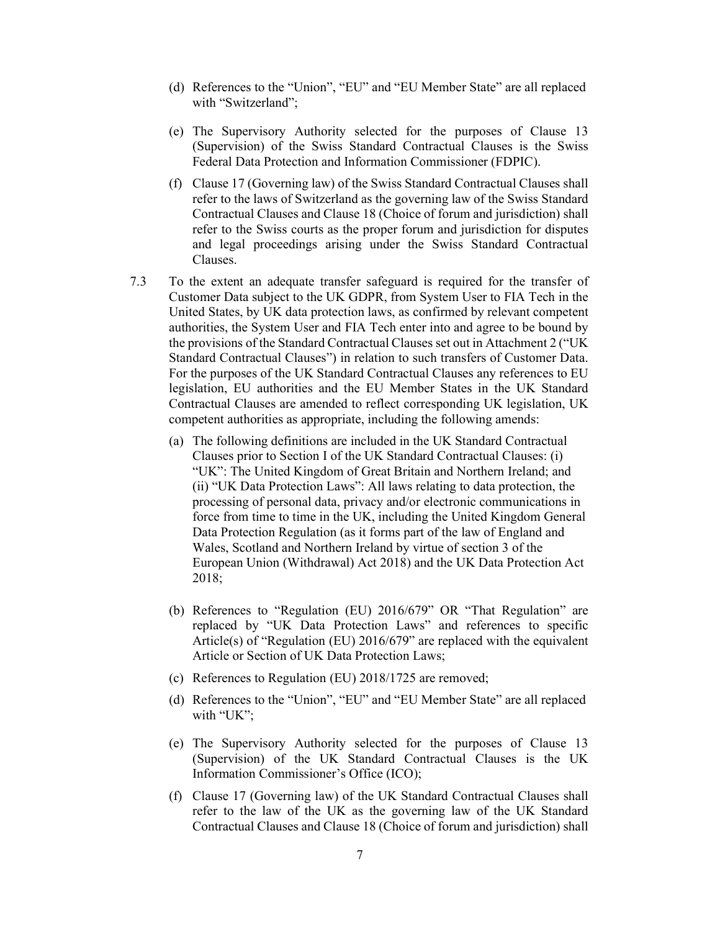- (d) References to the "Union", "EU" and "EU Member State" are all replaced with "Switzerland";
- (e) The Supervisory Authority selected for the purposes of Clause 13 (Supervision) of the Swiss Standard Contractual Clauses is the Swiss Federal Data Protection and Information Commissioner (FDPIC).
- (f) Clause 17 (Governing law) of the Swiss Standard Contractual Clauses shall refer to the laws of Switzerland as the governing law of the Swiss Standard Contractual Clauses and Clause 18 (Choice of forum and jurisdiction) shall refer to the Swiss courts as the proper forum and jurisdiction for disputes and legal proceedings arising under the Swiss Standard Contractual Clauses.
- 7.3 To the extent an adequate transfer safeguard is required for the transfer of Customer Data subject to the UK GDPR, from System User to FIA Tech in the United States, by UK data protection laws, as confirmed by relevant competent authorities, the System User and FIA Tech enter into and agree to be bound by the provisions of the Standard Contractual Clauses set out in Attachment 2 ("UK Standard Contractual Clauses") in relation to such transfers of Customer Data. For the purposes of the UK Standard Contractual Clauses any references to EU legislation, EU authorities and the EU Member States in the UK Standard Contractual Clauses are amended to reflect corresponding UK legislation, UK competent authorities as appropriate, including the following amends:
	- (a) The following definitions are included in the UK Standard Contractual Clauses prior to Section I of the UK Standard Contractual Clauses: (i) "UK": The United Kingdom of Great Britain and Northern Ireland; and (ii) "UK Data Protection Laws": All laws relating to data protection, the processing of personal data, privacy and/or electronic communications in force from time to time in the UK, including the United Kingdom General Data Protection Regulation (as it forms part of the law of England and Wales, Scotland and Northern Ireland by virtue of section 3 of the European Union (Withdrawal) Act 2018) and the UK Data Protection Act 2018;
	- (b) References to "Regulation (EU) 2016/679" OR "That Regulation" are replaced by "UK Data Protection Laws" and references to specific Article(s) of "Regulation (EU) 2016/679" are replaced with the equivalent Article or Section of UK Data Protection Laws;
	- (c) References to Regulation (EU) 2018/1725 are removed;
	- (d) References to the "Union", "EU" and "EU Member State" are all replaced with "UK";
	- (e) The Supervisory Authority selected for the purposes of Clause 13 (Supervision) of the UK Standard Contractual Clauses is the UK Information Commissioner's Office (ICO);
	- (f) Clause 17 (Governing law) of the UK Standard Contractual Clauses shall refer to the law of the UK as the governing law of the UK Standard Contractual Clauses and Clause 18 (Choice of forum and jurisdiction) shall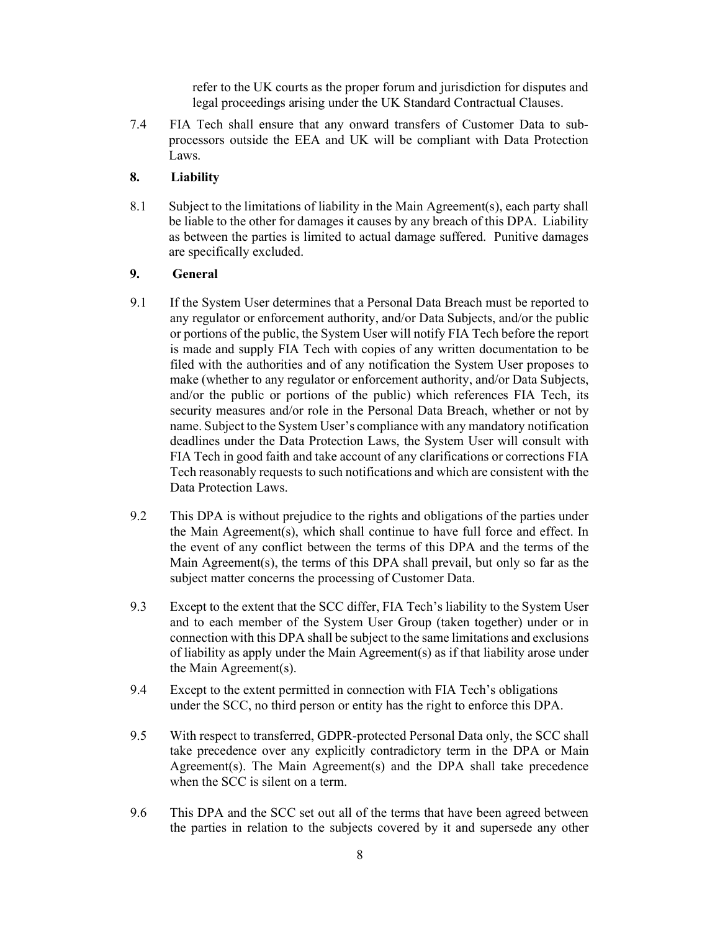refer to the UK courts as the proper forum and jurisdiction for disputes and legal proceedings arising under the UK Standard Contractual Clauses.

7.4 FIA Tech shall ensure that any onward transfers of Customer Data to subprocessors outside the EEA and UK will be compliant with Data Protection Laws.

# 8. Liability

8.1 Subject to the limitations of liability in the Main Agreement(s), each party shall be liable to the other for damages it causes by any breach of this DPA. Liability as between the parties is limited to actual damage suffered. Punitive damages are specifically excluded.

# 9. General

- 9.1 If the System User determines that a Personal Data Breach must be reported to any regulator or enforcement authority, and/or Data Subjects, and/or the public or portions of the public, the System User will notify FIA Tech before the report is made and supply FIA Tech with copies of any written documentation to be filed with the authorities and of any notification the System User proposes to make (whether to any regulator or enforcement authority, and/or Data Subjects, and/or the public or portions of the public) which references FIA Tech, its security measures and/or role in the Personal Data Breach, whether or not by name. Subject to the System User's compliance with any mandatory notification deadlines under the Data Protection Laws, the System User will consult with FIA Tech in good faith and take account of any clarifications or corrections FIA Tech reasonably requests to such notifications and which are consistent with the Data Protection Laws.
- 9.2 This DPA is without prejudice to the rights and obligations of the parties under the Main Agreement(s), which shall continue to have full force and effect. In the event of any conflict between the terms of this DPA and the terms of the Main Agreement(s), the terms of this DPA shall prevail, but only so far as the subject matter concerns the processing of Customer Data.
- 9.3 Except to the extent that the SCC differ, FIA Tech's liability to the System User and to each member of the System User Group (taken together) under or in connection with this DPA shall be subject to the same limitations and exclusions of liability as apply under the Main Agreement(s) as if that liability arose under the Main Agreement(s).
- 9.4 Except to the extent permitted in connection with FIA Tech's obligations under the SCC, no third person or entity has the right to enforce this DPA.
- 9.5 With respect to transferred, GDPR-protected Personal Data only, the SCC shall take precedence over any explicitly contradictory term in the DPA or Main Agreement(s). The Main Agreement(s) and the DPA shall take precedence when the SCC is silent on a term.
- 9.6 This DPA and the SCC set out all of the terms that have been agreed between the parties in relation to the subjects covered by it and supersede any other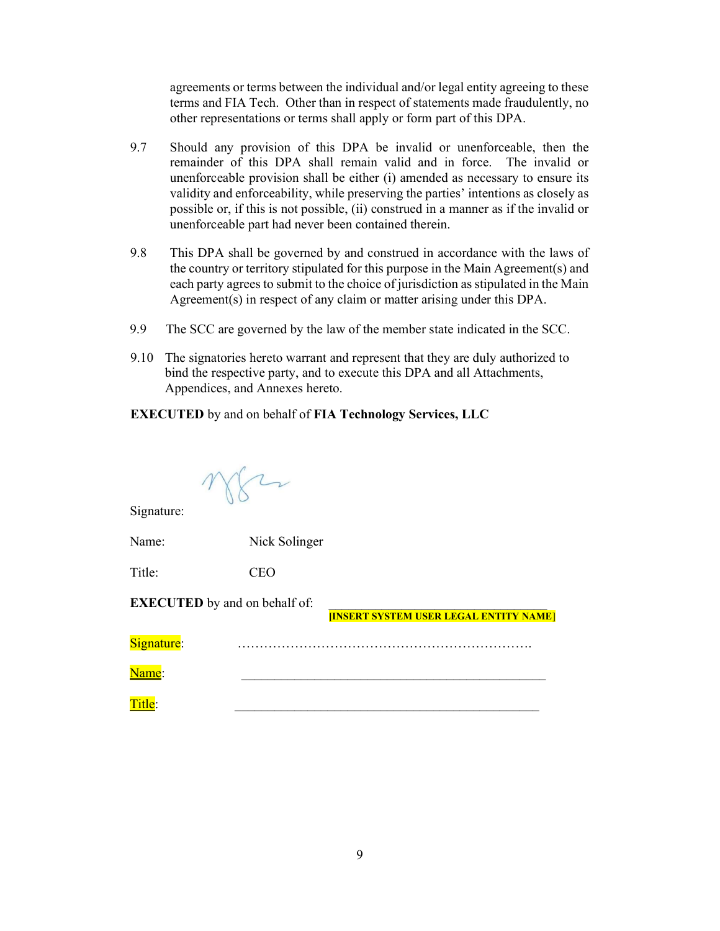agreements or terms between the individual and/or legal entity agreeing to these terms and FIA Tech. Other than in respect of statements made fraudulently, no other representations or terms shall apply or form part of this DPA.

- 9.7 Should any provision of this DPA be invalid or unenforceable, then the remainder of this DPA shall remain valid and in force. The invalid or unenforceable provision shall be either (i) amended as necessary to ensure its validity and enforceability, while preserving the parties' intentions as closely as possible or, if this is not possible, (ii) construed in a manner as if the invalid or unenforceable part had never been contained therein.
- 9.8 This DPA shall be governed by and construed in accordance with the laws of the country or territory stipulated for this purpose in the Main Agreement(s) and each party agrees to submit to the choice of jurisdiction as stipulated in the Main Agreement(s) in respect of any claim or matter arising under this DPA.
- 9.9 The SCC are governed by the law of the member state indicated in the SCC.
- 9.10 The signatories hereto warrant and represent that they are duly authorized to bind the respective party, and to execute this DPA and all Attachments, Appendices, and Annexes hereto.

EXECUTED by and on behalf of FIA Technology Services, LLC

mar

Signature:

| Name:                                | Nick Solinger |                                               |
|--------------------------------------|---------------|-----------------------------------------------|
| Title:                               | <b>CEO</b>    |                                               |
| <b>EXECUTED</b> by and on behalf of: |               | <b>[INSERT SYSTEM USER LEGAL ENTITY NAME]</b> |
| Signature:                           |               |                                               |
| Name:                                |               |                                               |
| Title:                               |               |                                               |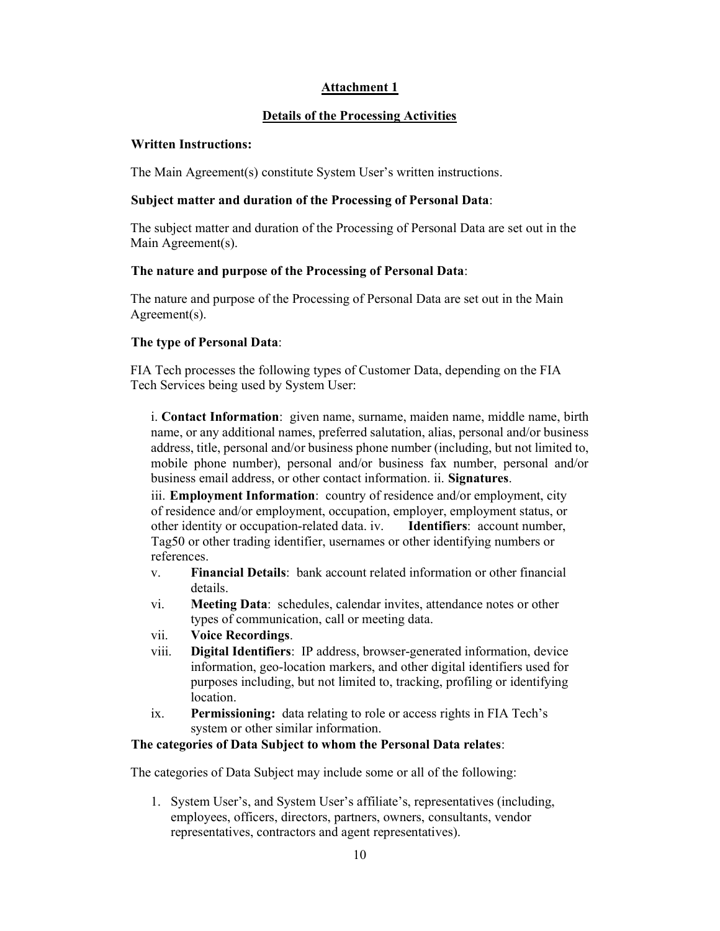# Attachment 1

# Details of the Processing Activities

# Written Instructions:

The Main Agreement(s) constitute System User's written instructions.

# Subject matter and duration of the Processing of Personal Data:

The subject matter and duration of the Processing of Personal Data are set out in the Main Agreement(s).

### The nature and purpose of the Processing of Personal Data:

The nature and purpose of the Processing of Personal Data are set out in the Main Agreement(s).

# The type of Personal Data:

FIA Tech processes the following types of Customer Data, depending on the FIA Tech Services being used by System User:

i. Contact Information: given name, surname, maiden name, middle name, birth name, or any additional names, preferred salutation, alias, personal and/or business address, title, personal and/or business phone number (including, but not limited to, mobile phone number), personal and/or business fax number, personal and/or business email address, or other contact information. ii. Signatures.

iii. Employment Information: country of residence and/or employment, city of residence and/or employment, occupation, employer, employment status, or other identity or occupation-related data. iv. Identifiers: account number, Tag50 or other trading identifier, usernames or other identifying numbers or references.

- v. Financial Details: bank account related information or other financial details.
- vi. Meeting Data: schedules, calendar invites, attendance notes or other types of communication, call or meeting data.
- vii. Voice Recordings.
- viii. Digital Identifiers: IP address, browser-generated information, device information, geo-location markers, and other digital identifiers used for purposes including, but not limited to, tracking, profiling or identifying location.
- ix. Permissioning: data relating to role or access rights in FIA Tech's system or other similar information.

# The categories of Data Subject to whom the Personal Data relates:

The categories of Data Subject may include some or all of the following:

1. System User's, and System User's affiliate's, representatives (including, employees, officers, directors, partners, owners, consultants, vendor representatives, contractors and agent representatives).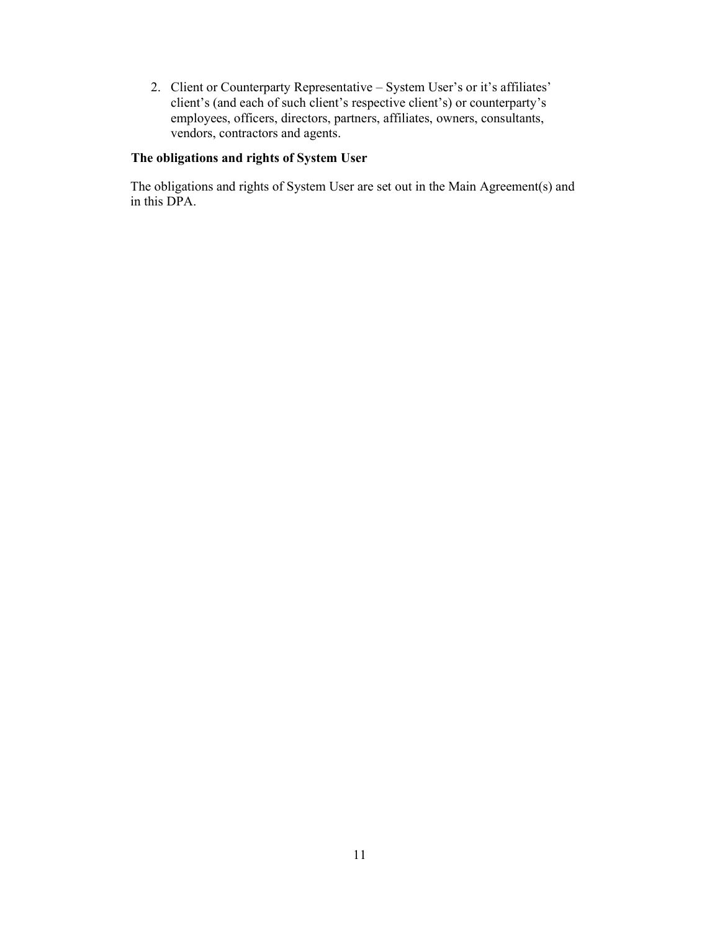2. Client or Counterparty Representative – System User's or it's affiliates' client's (and each of such client's respective client's) or counterparty's employees, officers, directors, partners, affiliates, owners, consultants, vendors, contractors and agents.

# The obligations and rights of System User

The obligations and rights of System User are set out in the Main Agreement(s) and in this DPA.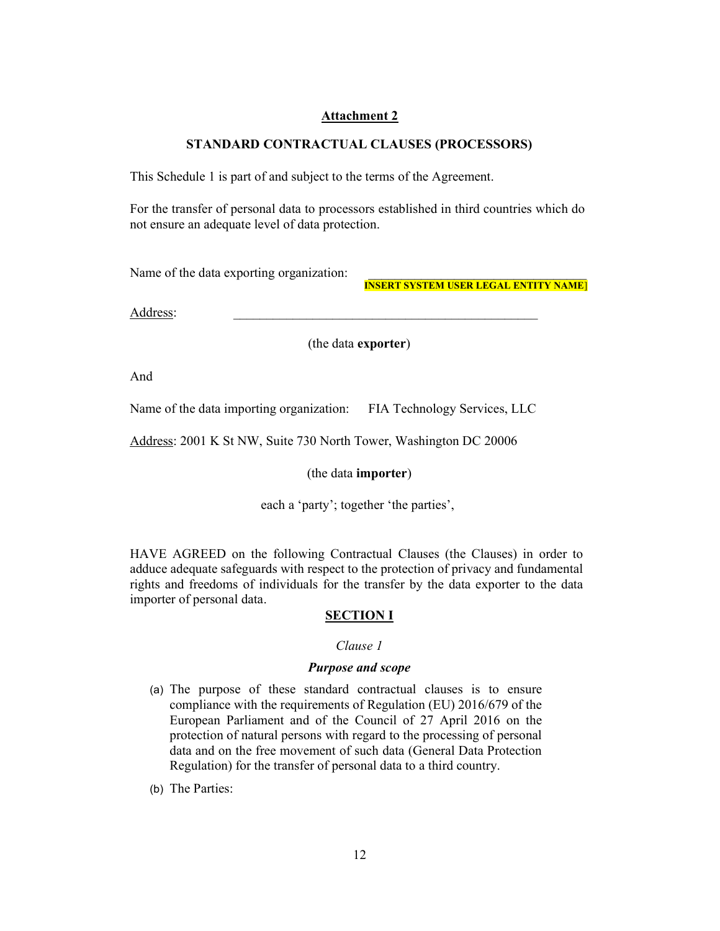# Attachment 2

# STANDARD CONTRACTUAL CLAUSES (PROCESSORS)

This Schedule 1 is part of and subject to the terms of the Agreement.

For the transfer of personal data to processors established in third countries which do not ensure an adequate level of data protection.

Name of the data exporting organization:

INSERT SYSTEM USER LEGAL ENTITY NAME]

Address:

(the data exporter)

And

Name of the data importing organization: FIA Technology Services, LLC

Address: 2001 K St NW, Suite 730 North Tower, Washington DC 20006

(the data importer)

each a 'party'; together 'the parties',

HAVE AGREED on the following Contractual Clauses (the Clauses) in order to adduce adequate safeguards with respect to the protection of privacy and fundamental rights and freedoms of individuals for the transfer by the data exporter to the data importer of personal data.

# SECTION I

### Clause 1

#### Purpose and scope

- (a) The purpose of these standard contractual clauses is to ensure compliance with the requirements of Regulation (EU) 2016/679 of the European Parliament and of the Council of 27 April 2016 on the protection of natural persons with regard to the processing of personal data and on the free movement of such data (General Data Protection Regulation) for the transfer of personal data to a third country.
- (b) The Parties: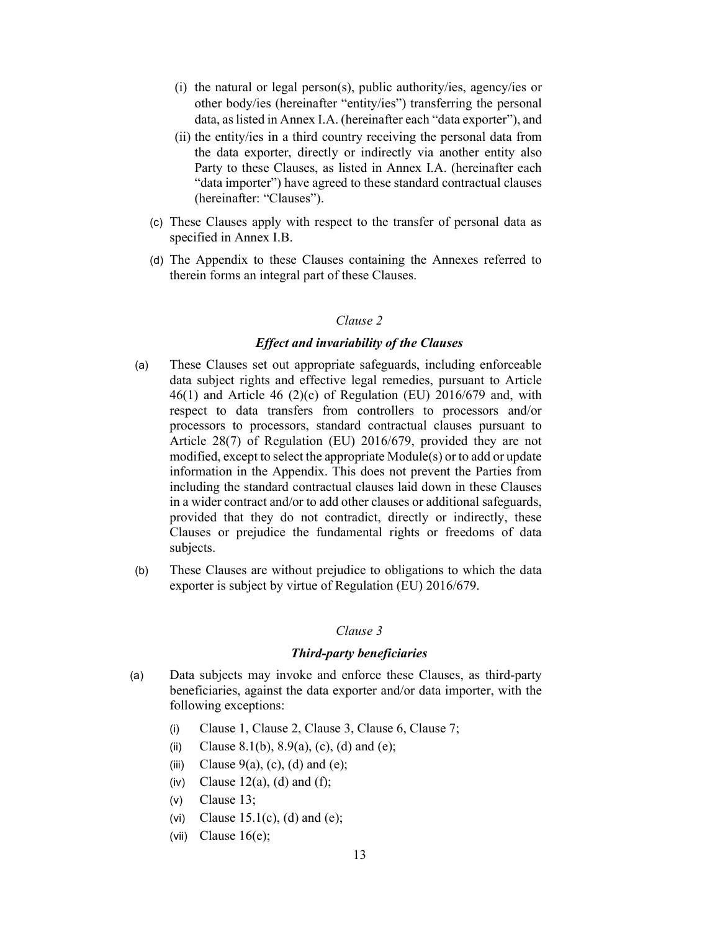- (i) the natural or legal person(s), public authority/ies, agency/ies or other body/ies (hereinafter "entity/ies") transferring the personal data, as listed in Annex I.A. (hereinafter each "data exporter"), and
- (ii) the entity/ies in a third country receiving the personal data from the data exporter, directly or indirectly via another entity also Party to these Clauses, as listed in Annex I.A. (hereinafter each "data importer") have agreed to these standard contractual clauses (hereinafter: "Clauses").
- (c) These Clauses apply with respect to the transfer of personal data as specified in Annex I.B.
- (d) The Appendix to these Clauses containing the Annexes referred to therein forms an integral part of these Clauses.

#### Clause 2

## Effect and invariability of the Clauses

- (a) These Clauses set out appropriate safeguards, including enforceable data subject rights and effective legal remedies, pursuant to Article  $46(1)$  and Article  $46(2)(c)$  of Regulation (EU) 2016/679 and, with respect to data transfers from controllers to processors and/or processors to processors, standard contractual clauses pursuant to Article 28(7) of Regulation (EU) 2016/679, provided they are not modified, except to select the appropriate Module(s) or to add or update information in the Appendix. This does not prevent the Parties from including the standard contractual clauses laid down in these Clauses in a wider contract and/or to add other clauses or additional safeguards, provided that they do not contradict, directly or indirectly, these Clauses or prejudice the fundamental rights or freedoms of data subjects.
- (b) These Clauses are without prejudice to obligations to which the data exporter is subject by virtue of Regulation (EU) 2016/679.

#### Clause 3

### Third-party beneficiaries

- (a) Data subjects may invoke and enforce these Clauses, as third-party beneficiaries, against the data exporter and/or data importer, with the following exceptions:
	- (i) Clause 1, Clause 2, Clause 3, Clause 6, Clause 7;
	- (ii) Clause 8.1(b), 8.9(a), (c), (d) and (e);
	- (iii) Clause  $9(a)$ , (c), (d) and (e);
	- (iv) Clause  $12(a)$ , (d) and (f);
	- $(v)$  Clause 13;
	- (vi) Clause  $15.1(c)$ , (d) and (e);
	- (vii) Clause  $16(e)$ ;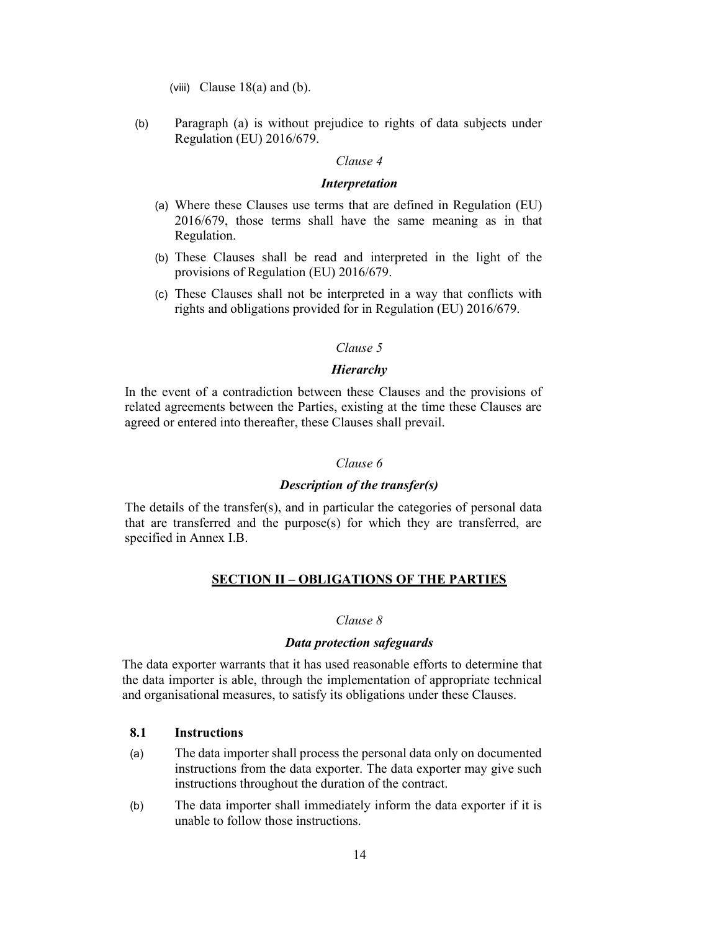(viii) Clause  $18(a)$  and (b).

(b) Paragraph (a) is without prejudice to rights of data subjects under Regulation (EU) 2016/679.

#### Clause 4

#### Interpretation

- (a) Where these Clauses use terms that are defined in Regulation (EU) 2016/679, those terms shall have the same meaning as in that Regulation.
- (b) These Clauses shall be read and interpreted in the light of the provisions of Regulation (EU) 2016/679.
- (c) These Clauses shall not be interpreted in a way that conflicts with rights and obligations provided for in Regulation (EU) 2016/679.

#### Clause 5

### **Hierarchy**

In the event of a contradiction between these Clauses and the provisions of related agreements between the Parties, existing at the time these Clauses are agreed or entered into thereafter, these Clauses shall prevail.

#### Clause 6

### Description of the transfer(s)

The details of the transfer(s), and in particular the categories of personal data that are transferred and the purpose(s) for which they are transferred, are specified in Annex I.B.

# SECTION II – OBLIGATIONS OF THE PARTIES

## Clause 8

#### Data protection safeguards

The data exporter warrants that it has used reasonable efforts to determine that the data importer is able, through the implementation of appropriate technical and organisational measures, to satisfy its obligations under these Clauses.

#### 8.1 Instructions

- (a) The data importer shall process the personal data only on documented instructions from the data exporter. The data exporter may give such instructions throughout the duration of the contract.
- (b) The data importer shall immediately inform the data exporter if it is unable to follow those instructions.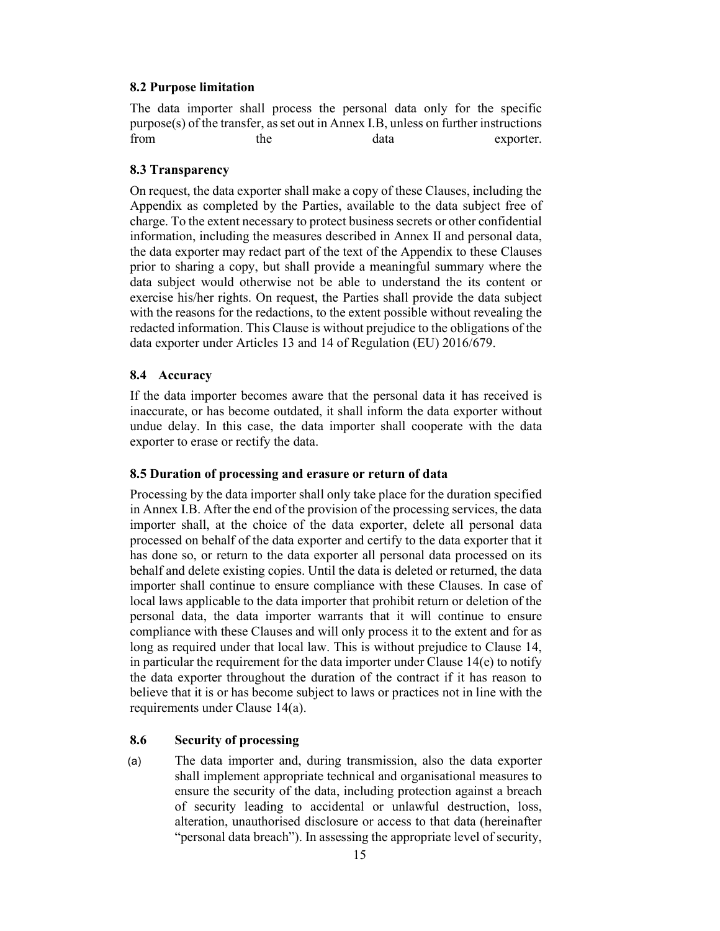#### 8.2 Purpose limitation

The data importer shall process the personal data only for the specific purpose(s) of the transfer, as set out in Annex I.B, unless on further instructions from the data exporter.

#### 8.3 Transparency

On request, the data exporter shall make a copy of these Clauses, including the Appendix as completed by the Parties, available to the data subject free of charge. To the extent necessary to protect business secrets or other confidential information, including the measures described in Annex II and personal data, the data exporter may redact part of the text of the Appendix to these Clauses prior to sharing a copy, but shall provide a meaningful summary where the data subject would otherwise not be able to understand the its content or exercise his/her rights. On request, the Parties shall provide the data subject with the reasons for the redactions, to the extent possible without revealing the redacted information. This Clause is without prejudice to the obligations of the data exporter under Articles 13 and 14 of Regulation (EU) 2016/679.

### 8.4 Accuracy

If the data importer becomes aware that the personal data it has received is inaccurate, or has become outdated, it shall inform the data exporter without undue delay. In this case, the data importer shall cooperate with the data exporter to erase or rectify the data.

#### 8.5 Duration of processing and erasure or return of data

Processing by the data importer shall only take place for the duration specified in Annex I.B. After the end of the provision of the processing services, the data importer shall, at the choice of the data exporter, delete all personal data processed on behalf of the data exporter and certify to the data exporter that it has done so, or return to the data exporter all personal data processed on its behalf and delete existing copies. Until the data is deleted or returned, the data importer shall continue to ensure compliance with these Clauses. In case of local laws applicable to the data importer that prohibit return or deletion of the personal data, the data importer warrants that it will continue to ensure compliance with these Clauses and will only process it to the extent and for as long as required under that local law. This is without prejudice to Clause 14, in particular the requirement for the data importer under Clause  $14(e)$  to notify the data exporter throughout the duration of the contract if it has reason to believe that it is or has become subject to laws or practices not in line with the requirements under Clause 14(a).

#### 8.6 Security of processing

(a) The data importer and, during transmission, also the data exporter shall implement appropriate technical and organisational measures to ensure the security of the data, including protection against a breach of security leading to accidental or unlawful destruction, loss, alteration, unauthorised disclosure or access to that data (hereinafter "personal data breach"). In assessing the appropriate level of security,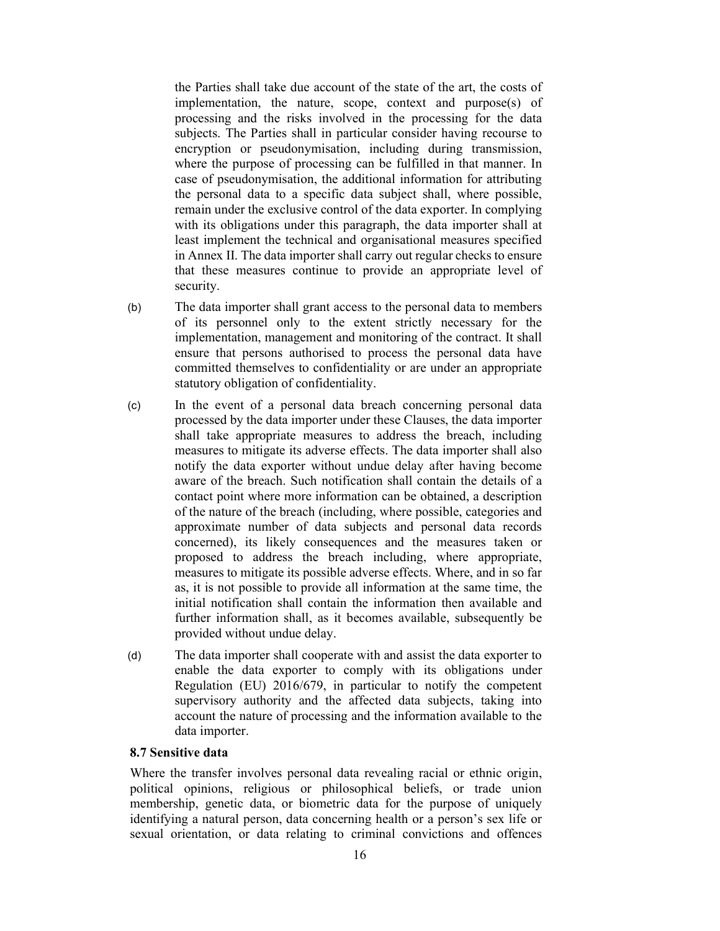the Parties shall take due account of the state of the art, the costs of implementation, the nature, scope, context and purpose(s) of processing and the risks involved in the processing for the data subjects. The Parties shall in particular consider having recourse to encryption or pseudonymisation, including during transmission, where the purpose of processing can be fulfilled in that manner. In case of pseudonymisation, the additional information for attributing the personal data to a specific data subject shall, where possible, remain under the exclusive control of the data exporter. In complying with its obligations under this paragraph, the data importer shall at least implement the technical and organisational measures specified in Annex II. The data importer shall carry out regular checks to ensure that these measures continue to provide an appropriate level of security.

- (b) The data importer shall grant access to the personal data to members of its personnel only to the extent strictly necessary for the implementation, management and monitoring of the contract. It shall ensure that persons authorised to process the personal data have committed themselves to confidentiality or are under an appropriate statutory obligation of confidentiality.
- (c) In the event of a personal data breach concerning personal data processed by the data importer under these Clauses, the data importer shall take appropriate measures to address the breach, including measures to mitigate its adverse effects. The data importer shall also notify the data exporter without undue delay after having become aware of the breach. Such notification shall contain the details of a contact point where more information can be obtained, a description of the nature of the breach (including, where possible, categories and approximate number of data subjects and personal data records concerned), its likely consequences and the measures taken or proposed to address the breach including, where appropriate, measures to mitigate its possible adverse effects. Where, and in so far as, it is not possible to provide all information at the same time, the initial notification shall contain the information then available and further information shall, as it becomes available, subsequently be provided without undue delay.
- (d) The data importer shall cooperate with and assist the data exporter to enable the data exporter to comply with its obligations under Regulation (EU) 2016/679, in particular to notify the competent supervisory authority and the affected data subjects, taking into account the nature of processing and the information available to the data importer.

#### 8.7 Sensitive data

Where the transfer involves personal data revealing racial or ethnic origin, political opinions, religious or philosophical beliefs, or trade union membership, genetic data, or biometric data for the purpose of uniquely identifying a natural person, data concerning health or a person's sex life or sexual orientation, or data relating to criminal convictions and offences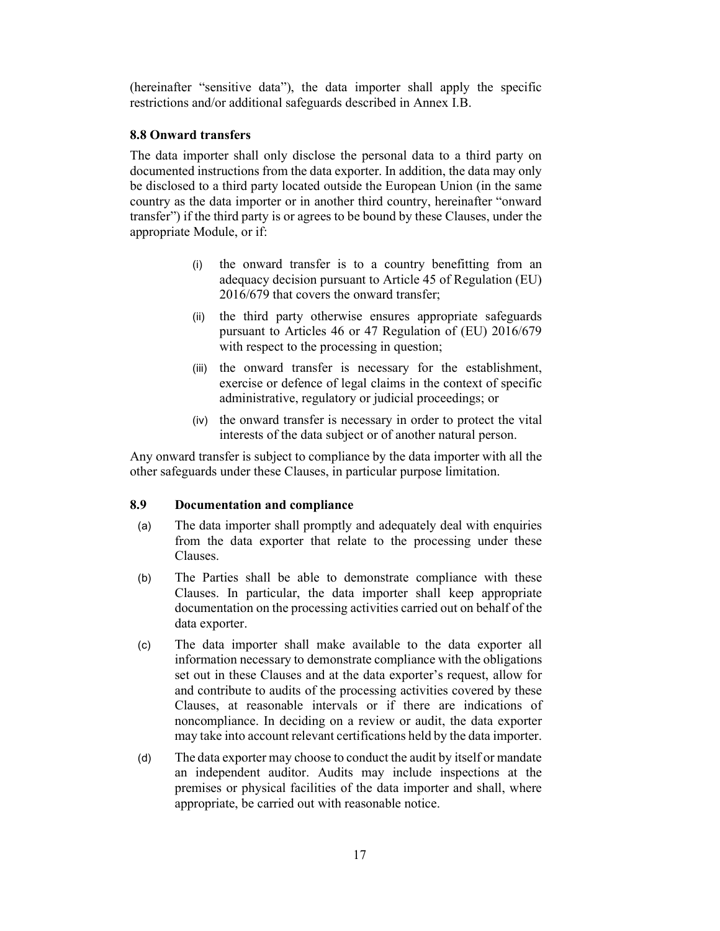(hereinafter "sensitive data"), the data importer shall apply the specific restrictions and/or additional safeguards described in Annex I.B.

### 8.8 Onward transfers

The data importer shall only disclose the personal data to a third party on documented instructions from the data exporter. In addition, the data may only be disclosed to a third party located outside the European Union (in the same country as the data importer or in another third country, hereinafter "onward transfer") if the third party is or agrees to be bound by these Clauses, under the appropriate Module, or if:

- (i) the onward transfer is to a country benefitting from an adequacy decision pursuant to Article 45 of Regulation (EU) 2016/679 that covers the onward transfer;
- (ii) the third party otherwise ensures appropriate safeguards pursuant to Articles 46 or 47 Regulation of (EU) 2016/679 with respect to the processing in question;
- (iii) the onward transfer is necessary for the establishment, exercise or defence of legal claims in the context of specific administrative, regulatory or judicial proceedings; or
- (iv) the onward transfer is necessary in order to protect the vital interests of the data subject or of another natural person.

Any onward transfer is subject to compliance by the data importer with all the other safeguards under these Clauses, in particular purpose limitation.

# 8.9 Documentation and compliance

- (a) The data importer shall promptly and adequately deal with enquiries from the data exporter that relate to the processing under these Clauses.
- (b) The Parties shall be able to demonstrate compliance with these Clauses. In particular, the data importer shall keep appropriate documentation on the processing activities carried out on behalf of the data exporter.
- (c) The data importer shall make available to the data exporter all information necessary to demonstrate compliance with the obligations set out in these Clauses and at the data exporter's request, allow for and contribute to audits of the processing activities covered by these Clauses, at reasonable intervals or if there are indications of noncompliance. In deciding on a review or audit, the data exporter may take into account relevant certifications held by the data importer.
- (d) The data exporter may choose to conduct the audit by itself or mandate an independent auditor. Audits may include inspections at the premises or physical facilities of the data importer and shall, where appropriate, be carried out with reasonable notice.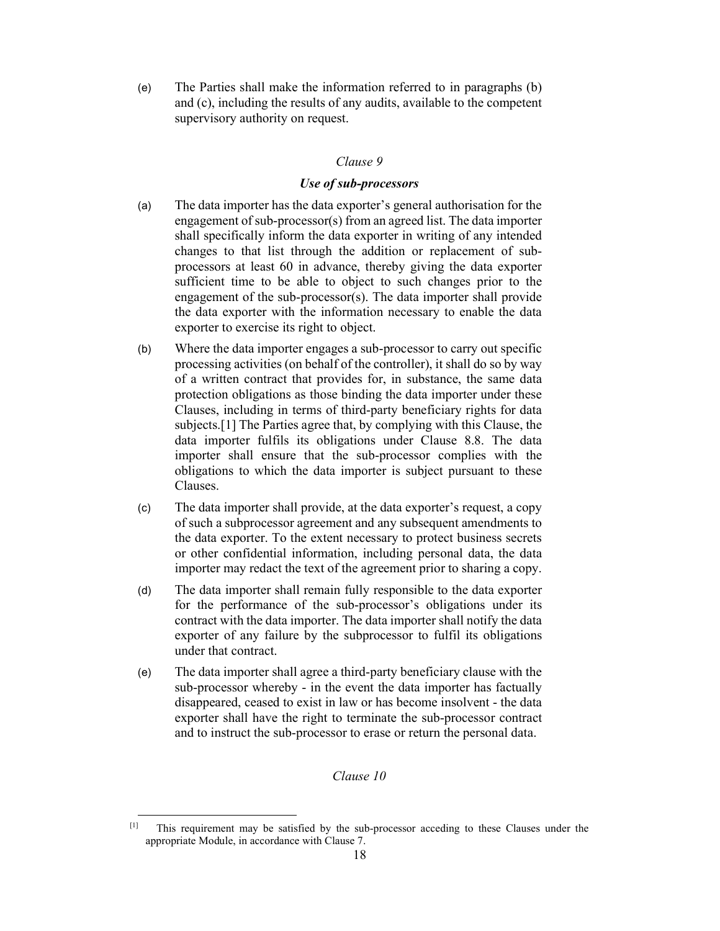(e) The Parties shall make the information referred to in paragraphs (b) and (c), including the results of any audits, available to the competent supervisory authority on request.

### Clause 9

#### Use of sub-processors

- (a) The data importer has the data exporter's general authorisation for the engagement of sub-processor(s) from an agreed list. The data importer shall specifically inform the data exporter in writing of any intended changes to that list through the addition or replacement of subprocessors at least 60 in advance, thereby giving the data exporter sufficient time to be able to object to such changes prior to the engagement of the sub-processor(s). The data importer shall provide the data exporter with the information necessary to enable the data exporter to exercise its right to object.
- (b) Where the data importer engages a sub-processor to carry out specific processing activities (on behalf of the controller), it shall do so by way of a written contract that provides for, in substance, the same data protection obligations as those binding the data importer under these Clauses, including in terms of third-party beneficiary rights for data subjects.[1] The Parties agree that, by complying with this Clause, the data importer fulfils its obligations under Clause 8.8. The data importer shall ensure that the sub-processor complies with the obligations to which the data importer is subject pursuant to these Clauses.
- (c) The data importer shall provide, at the data exporter's request, a copy of such a subprocessor agreement and any subsequent amendments to the data exporter. To the extent necessary to protect business secrets or other confidential information, including personal data, the data importer may redact the text of the agreement prior to sharing a copy.
- (d) The data importer shall remain fully responsible to the data exporter for the performance of the sub-processor's obligations under its contract with the data importer. The data importer shall notify the data exporter of any failure by the subprocessor to fulfil its obligations under that contract.
- (e) The data importer shall agree a third-party beneficiary clause with the sub-processor whereby - in the event the data importer has factually disappeared, ceased to exist in law or has become insolvent - the data exporter shall have the right to terminate the sub-processor contract and to instruct the sub-processor to erase or return the personal data.

# Clause 10

<sup>[1]</sup> This requirement may be satisfied by the sub-processor acceding to these Clauses under the appropriate Module, in accordance with Clause 7.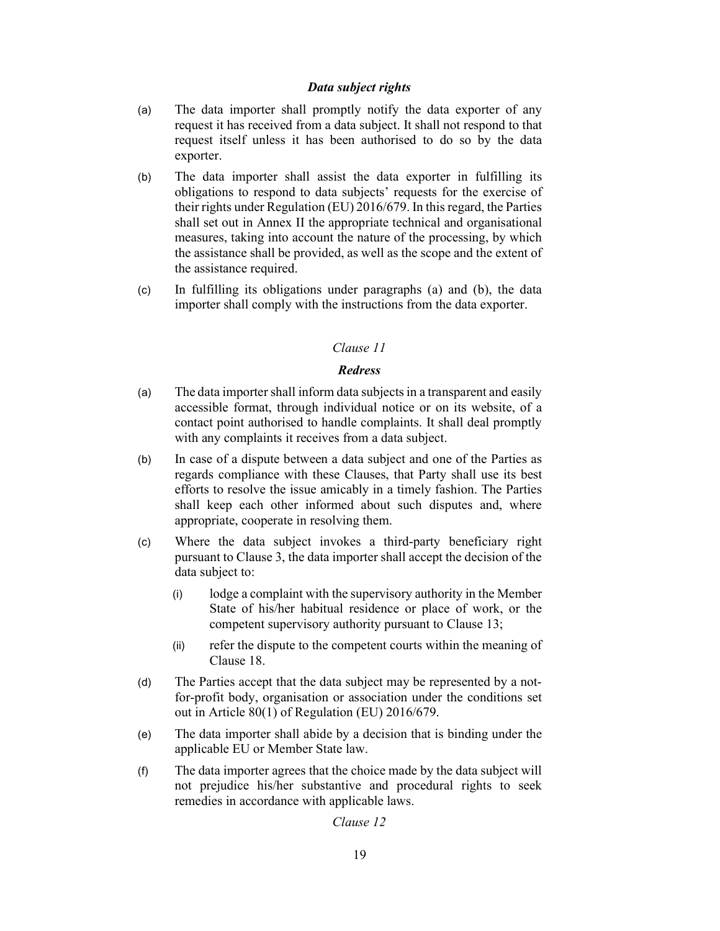### Data subject rights

- (a) The data importer shall promptly notify the data exporter of any request it has received from a data subject. It shall not respond to that request itself unless it has been authorised to do so by the data exporter.
- (b) The data importer shall assist the data exporter in fulfilling its obligations to respond to data subjects' requests for the exercise of their rights under Regulation (EU) 2016/679. In this regard, the Parties shall set out in Annex II the appropriate technical and organisational measures, taking into account the nature of the processing, by which the assistance shall be provided, as well as the scope and the extent of the assistance required.
- (c) In fulfilling its obligations under paragraphs (a) and (b), the data importer shall comply with the instructions from the data exporter.

#### Clause 11

#### Redress

- (a) The data importer shall inform data subjects in a transparent and easily accessible format, through individual notice or on its website, of a contact point authorised to handle complaints. It shall deal promptly with any complaints it receives from a data subject.
- (b) In case of a dispute between a data subject and one of the Parties as regards compliance with these Clauses, that Party shall use its best efforts to resolve the issue amicably in a timely fashion. The Parties shall keep each other informed about such disputes and, where appropriate, cooperate in resolving them.
- (c) Where the data subject invokes a third-party beneficiary right pursuant to Clause 3, the data importer shall accept the decision of the data subject to:
	- (i) lodge a complaint with the supervisory authority in the Member State of his/her habitual residence or place of work, or the competent supervisory authority pursuant to Clause 13;
	- (ii) refer the dispute to the competent courts within the meaning of Clause 18.
- (d) The Parties accept that the data subject may be represented by a notfor-profit body, organisation or association under the conditions set out in Article 80(1) of Regulation (EU) 2016/679.
- (e) The data importer shall abide by a decision that is binding under the applicable EU or Member State law.
- (f) The data importer agrees that the choice made by the data subject will not prejudice his/her substantive and procedural rights to seek remedies in accordance with applicable laws.

#### Clause 12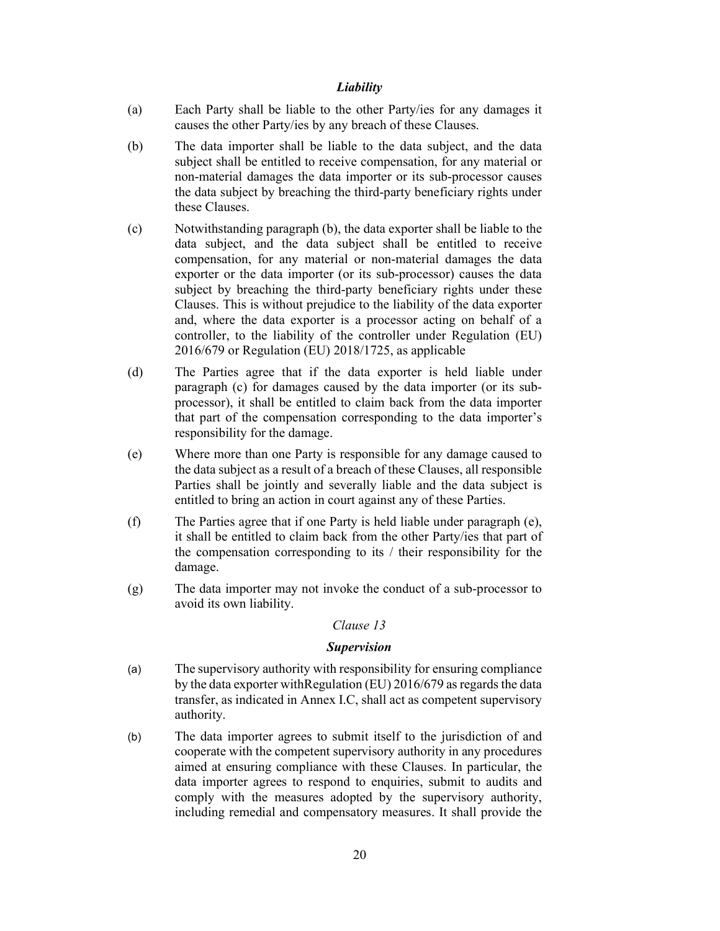### **Liability**

- (a) Each Party shall be liable to the other Party/ies for any damages it causes the other Party/ies by any breach of these Clauses.
- (b) The data importer shall be liable to the data subject, and the data subject shall be entitled to receive compensation, for any material or non-material damages the data importer or its sub-processor causes the data subject by breaching the third-party beneficiary rights under these Clauses.
- (c) Notwithstanding paragraph (b), the data exporter shall be liable to the data subject, and the data subject shall be entitled to receive compensation, for any material or non-material damages the data exporter or the data importer (or its sub-processor) causes the data subject by breaching the third-party beneficiary rights under these Clauses. This is without prejudice to the liability of the data exporter and, where the data exporter is a processor acting on behalf of a controller, to the liability of the controller under Regulation (EU) 2016/679 or Regulation (EU) 2018/1725, as applicable
- (d) The Parties agree that if the data exporter is held liable under paragraph (c) for damages caused by the data importer (or its subprocessor), it shall be entitled to claim back from the data importer that part of the compensation corresponding to the data importer's responsibility for the damage.
- (e) Where more than one Party is responsible for any damage caused to the data subject as a result of a breach of these Clauses, all responsible Parties shall be jointly and severally liable and the data subject is entitled to bring an action in court against any of these Parties.
- (f) The Parties agree that if one Party is held liable under paragraph (e), it shall be entitled to claim back from the other Party/ies that part of the compensation corresponding to its / their responsibility for the damage.
- (g) The data importer may not invoke the conduct of a sub-processor to avoid its own liability.

# Clause 13

# Supervision

- (a) The supervisory authority with responsibility for ensuring compliance by the data exporter with Regulation (EU) 2016/679 as regards the data transfer, as indicated in Annex I.C, shall act as competent supervisory authority.
- (b) The data importer agrees to submit itself to the jurisdiction of and cooperate with the competent supervisory authority in any procedures aimed at ensuring compliance with these Clauses. In particular, the data importer agrees to respond to enquiries, submit to audits and comply with the measures adopted by the supervisory authority, including remedial and compensatory measures. It shall provide the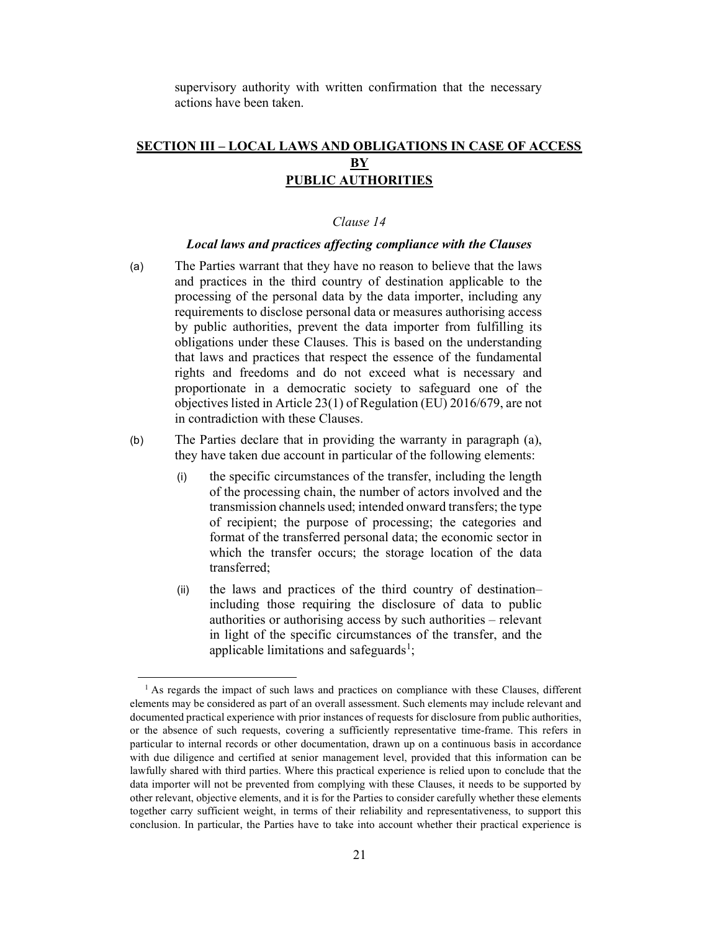supervisory authority with written confirmation that the necessary actions have been taken.

# SECTION III – LOCAL LAWS AND OBLIGATIONS IN CASE OF ACCESS BY PUBLIC AUTHORITIES

# Clause 14

#### Local laws and practices affecting compliance with the Clauses

- (a) The Parties warrant that they have no reason to believe that the laws and practices in the third country of destination applicable to the processing of the personal data by the data importer, including any requirements to disclose personal data or measures authorising access by public authorities, prevent the data importer from fulfilling its obligations under these Clauses. This is based on the understanding that laws and practices that respect the essence of the fundamental rights and freedoms and do not exceed what is necessary and proportionate in a democratic society to safeguard one of the objectives listed in Article 23(1) of Regulation (EU) 2016/679, are not in contradiction with these Clauses.
- (b) The Parties declare that in providing the warranty in paragraph (a), they have taken due account in particular of the following elements:
	- (i) the specific circumstances of the transfer, including the length of the processing chain, the number of actors involved and the transmission channels used; intended onward transfers; the type of recipient; the purpose of processing; the categories and format of the transferred personal data; the economic sector in which the transfer occurs; the storage location of the data transferred;
	- (ii) the laws and practices of the third country of destination– including those requiring the disclosure of data to public authorities or authorising access by such authorities – relevant in light of the specific circumstances of the transfer, and the applicable limitations and safeguards<sup>1</sup>;

<sup>&</sup>lt;sup>1</sup> As regards the impact of such laws and practices on compliance with these Clauses, different elements may be considered as part of an overall assessment. Such elements may include relevant and documented practical experience with prior instances of requests for disclosure from public authorities, or the absence of such requests, covering a sufficiently representative time-frame. This refers in particular to internal records or other documentation, drawn up on a continuous basis in accordance with due diligence and certified at senior management level, provided that this information can be lawfully shared with third parties. Where this practical experience is relied upon to conclude that the data importer will not be prevented from complying with these Clauses, it needs to be supported by other relevant, objective elements, and it is for the Parties to consider carefully whether these elements together carry sufficient weight, in terms of their reliability and representativeness, to support this conclusion. In particular, the Parties have to take into account whether their practical experience is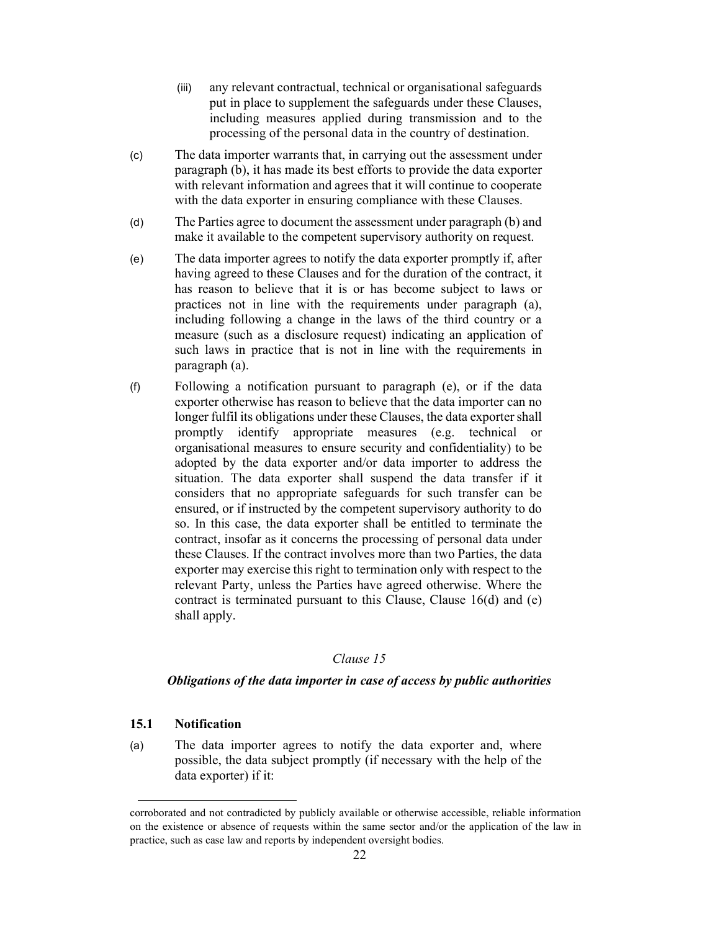- (iii) any relevant contractual, technical or organisational safeguards put in place to supplement the safeguards under these Clauses, including measures applied during transmission and to the processing of the personal data in the country of destination.
- (c) The data importer warrants that, in carrying out the assessment under paragraph (b), it has made its best efforts to provide the data exporter with relevant information and agrees that it will continue to cooperate with the data exporter in ensuring compliance with these Clauses.
- (d) The Parties agree to document the assessment under paragraph (b) and make it available to the competent supervisory authority on request.
- (e) The data importer agrees to notify the data exporter promptly if, after having agreed to these Clauses and for the duration of the contract, it has reason to believe that it is or has become subject to laws or practices not in line with the requirements under paragraph (a), including following a change in the laws of the third country or a measure (such as a disclosure request) indicating an application of such laws in practice that is not in line with the requirements in paragraph (a).
- (f) Following a notification pursuant to paragraph (e), or if the data exporter otherwise has reason to believe that the data importer can no longer fulfil its obligations under these Clauses, the data exporter shall promptly identify appropriate measures (e.g. technical or organisational measures to ensure security and confidentiality) to be adopted by the data exporter and/or data importer to address the situation. The data exporter shall suspend the data transfer if it considers that no appropriate safeguards for such transfer can be ensured, or if instructed by the competent supervisory authority to do so. In this case, the data exporter shall be entitled to terminate the contract, insofar as it concerns the processing of personal data under these Clauses. If the contract involves more than two Parties, the data exporter may exercise this right to termination only with respect to the relevant Party, unless the Parties have agreed otherwise. Where the contract is terminated pursuant to this Clause, Clause 16(d) and (e) shall apply.

# Clause 15

# Obligations of the data importer in case of access by public authorities

# 15.1 Notification

(a) The data importer agrees to notify the data exporter and, where possible, the data subject promptly (if necessary with the help of the data exporter) if it:

corroborated and not contradicted by publicly available or otherwise accessible, reliable information on the existence or absence of requests within the same sector and/or the application of the law in practice, such as case law and reports by independent oversight bodies.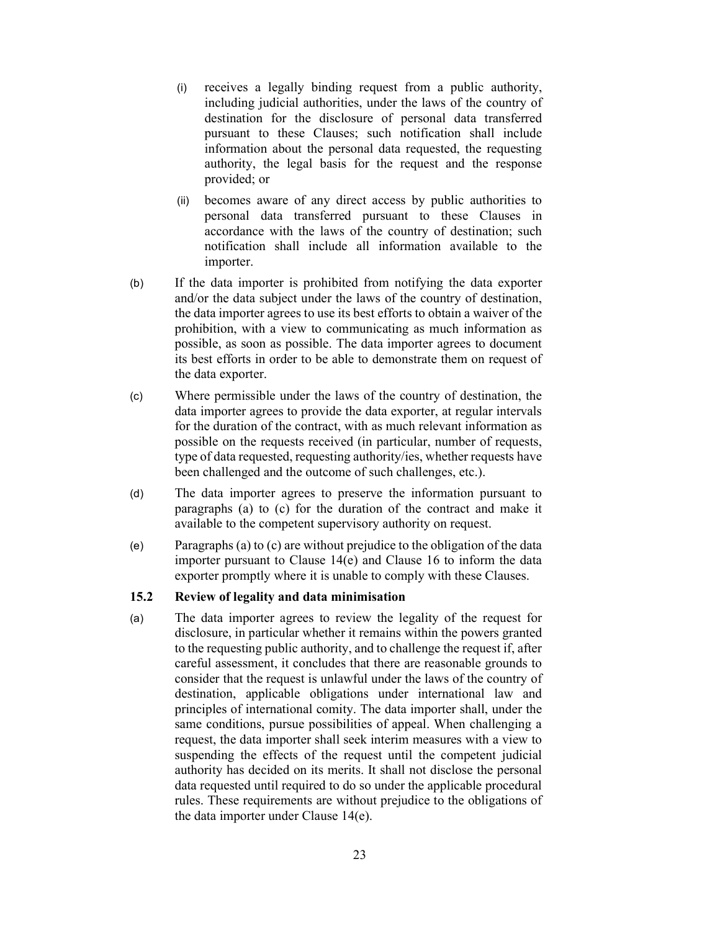- (i) receives a legally binding request from a public authority, including judicial authorities, under the laws of the country of destination for the disclosure of personal data transferred pursuant to these Clauses; such notification shall include information about the personal data requested, the requesting authority, the legal basis for the request and the response provided; or
- (ii) becomes aware of any direct access by public authorities to personal data transferred pursuant to these Clauses in accordance with the laws of the country of destination; such notification shall include all information available to the importer.
- (b) If the data importer is prohibited from notifying the data exporter and/or the data subject under the laws of the country of destination, the data importer agrees to use its best efforts to obtain a waiver of the prohibition, with a view to communicating as much information as possible, as soon as possible. The data importer agrees to document its best efforts in order to be able to demonstrate them on request of the data exporter.
- (c) Where permissible under the laws of the country of destination, the data importer agrees to provide the data exporter, at regular intervals for the duration of the contract, with as much relevant information as possible on the requests received (in particular, number of requests, type of data requested, requesting authority/ies, whether requests have been challenged and the outcome of such challenges, etc.).
- (d) The data importer agrees to preserve the information pursuant to paragraphs (a) to (c) for the duration of the contract and make it available to the competent supervisory authority on request.
- (e) Paragraphs (a) to (c) are without prejudice to the obligation of the data importer pursuant to Clause 14(e) and Clause 16 to inform the data exporter promptly where it is unable to comply with these Clauses.

### 15.2 Review of legality and data minimisation

(a) The data importer agrees to review the legality of the request for disclosure, in particular whether it remains within the powers granted to the requesting public authority, and to challenge the request if, after careful assessment, it concludes that there are reasonable grounds to consider that the request is unlawful under the laws of the country of destination, applicable obligations under international law and principles of international comity. The data importer shall, under the same conditions, pursue possibilities of appeal. When challenging a request, the data importer shall seek interim measures with a view to suspending the effects of the request until the competent judicial authority has decided on its merits. It shall not disclose the personal data requested until required to do so under the applicable procedural rules. These requirements are without prejudice to the obligations of the data importer under Clause 14(e).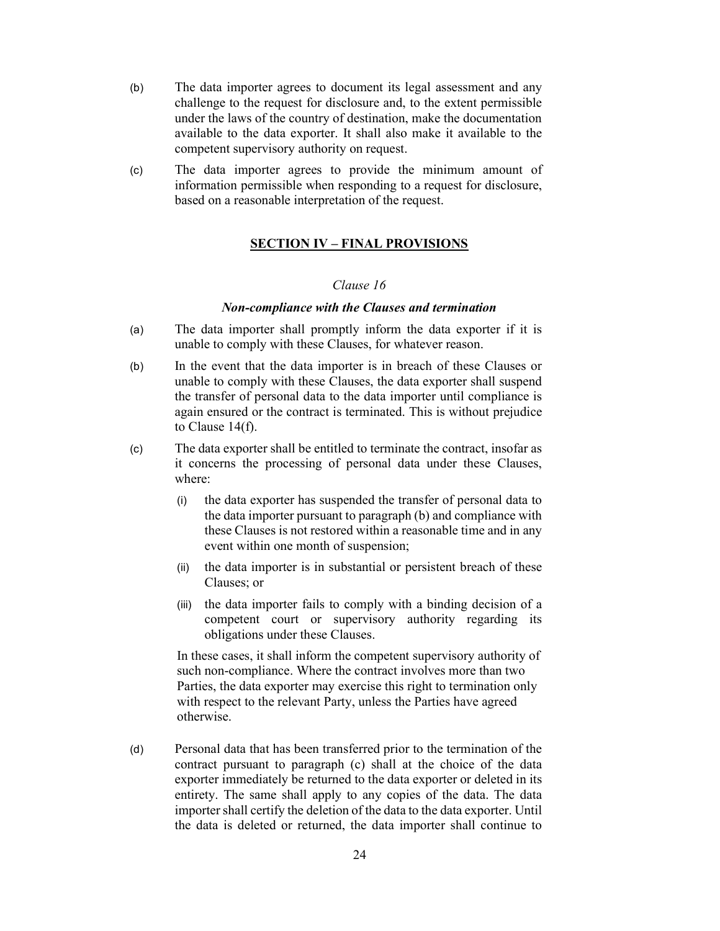- (b) The data importer agrees to document its legal assessment and any challenge to the request for disclosure and, to the extent permissible under the laws of the country of destination, make the documentation available to the data exporter. It shall also make it available to the competent supervisory authority on request.
- (c) The data importer agrees to provide the minimum amount of information permissible when responding to a request for disclosure, based on a reasonable interpretation of the request.

### SECTION IV – FINAL PROVISIONS

# Clause 16

#### Non-compliance with the Clauses and termination

- (a) The data importer shall promptly inform the data exporter if it is unable to comply with these Clauses, for whatever reason.
- (b) In the event that the data importer is in breach of these Clauses or unable to comply with these Clauses, the data exporter shall suspend the transfer of personal data to the data importer until compliance is again ensured or the contract is terminated. This is without prejudice to Clause 14(f).
- (c) The data exporter shall be entitled to terminate the contract, insofar as it concerns the processing of personal data under these Clauses, where:
	- (i) the data exporter has suspended the transfer of personal data to the data importer pursuant to paragraph (b) and compliance with these Clauses is not restored within a reasonable time and in any event within one month of suspension;
	- (ii) the data importer is in substantial or persistent breach of these Clauses; or
	- (iii) the data importer fails to comply with a binding decision of a competent court or supervisory authority regarding its obligations under these Clauses.

In these cases, it shall inform the competent supervisory authority of such non-compliance. Where the contract involves more than two Parties, the data exporter may exercise this right to termination only with respect to the relevant Party, unless the Parties have agreed otherwise.

(d) Personal data that has been transferred prior to the termination of the contract pursuant to paragraph (c) shall at the choice of the data exporter immediately be returned to the data exporter or deleted in its entirety. The same shall apply to any copies of the data. The data importer shall certify the deletion of the data to the data exporter. Until the data is deleted or returned, the data importer shall continue to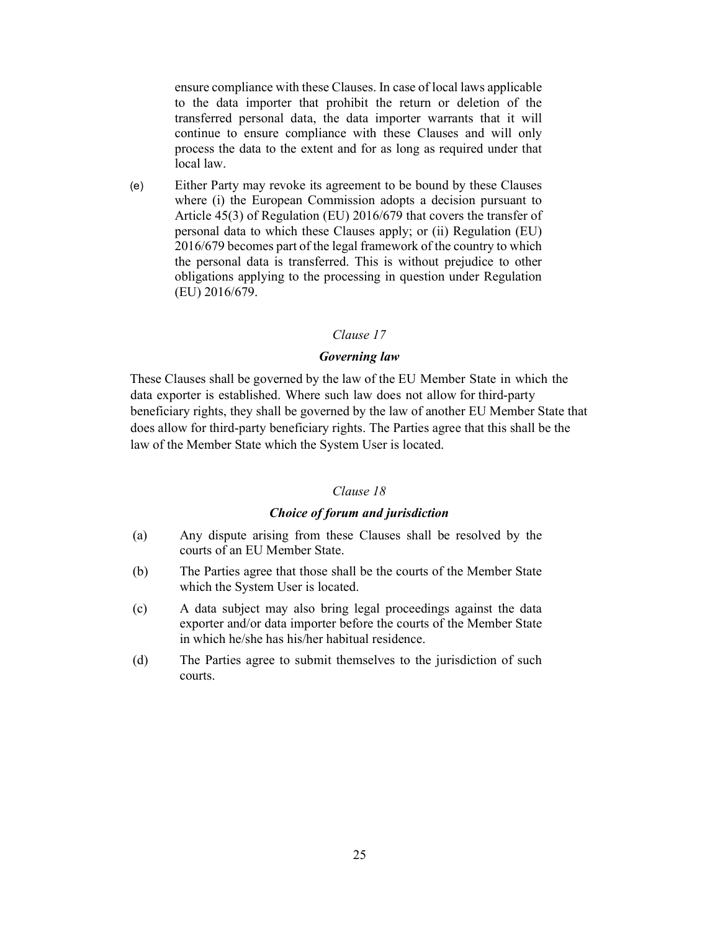ensure compliance with these Clauses. In case of local laws applicable to the data importer that prohibit the return or deletion of the transferred personal data, the data importer warrants that it will continue to ensure compliance with these Clauses and will only process the data to the extent and for as long as required under that local law.

(e) Either Party may revoke its agreement to be bound by these Clauses where (i) the European Commission adopts a decision pursuant to Article 45(3) of Regulation (EU) 2016/679 that covers the transfer of personal data to which these Clauses apply; or (ii) Regulation (EU) 2016/679 becomes part of the legal framework of the country to which the personal data is transferred. This is without prejudice to other obligations applying to the processing in question under Regulation (EU) 2016/679.

#### Clause 17

#### Governing law

These Clauses shall be governed by the law of the EU Member State in which the data exporter is established. Where such law does not allow for third-party beneficiary rights, they shall be governed by the law of another EU Member State that does allow for third-party beneficiary rights. The Parties agree that this shall be the law of the Member State which the System User is located.

#### Clause 18

# Choice of forum and jurisdiction

- (a) Any dispute arising from these Clauses shall be resolved by the courts of an EU Member State.
- (b) The Parties agree that those shall be the courts of the Member State which the System User is located.
- (c) A data subject may also bring legal proceedings against the data exporter and/or data importer before the courts of the Member State in which he/she has his/her habitual residence.
- (d) The Parties agree to submit themselves to the jurisdiction of such courts.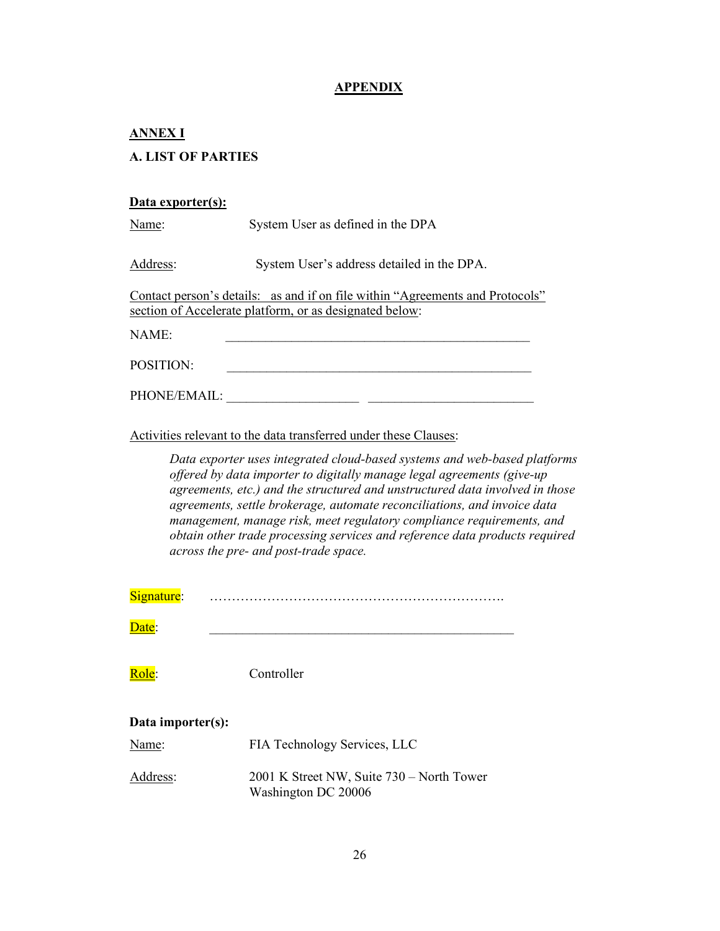# **APPENDIX**

# ANNEX I A. LIST OF PARTIES

# Data exporter(s):

| Name:            | System User as defined in the DPA                                                                                                        |
|------------------|------------------------------------------------------------------------------------------------------------------------------------------|
| Address:         | System User's address detailed in the DPA.                                                                                               |
| NAME:            | Contact person's details: as and if on file within "Agreements and Protocols"<br>section of Accelerate platform, or as designated below: |
| <b>POSITION:</b> |                                                                                                                                          |
| PHONE/EMAIL:     |                                                                                                                                          |

Activities relevant to the data transferred under these Clauses:

Data exporter uses integrated cloud-based systems and web-based platforms offered by data importer to digitally manage legal agreements (give-up agreements, etc.) and the structured and unstructured data involved in those agreements, settle brokerage, automate reconciliations, and invoice data management, manage risk, meet regulatory compliance requirements, and obtain other trade processing services and reference data products required across the pre- and post-trade space.

| $\mathbf{N}$ 101 |  |
|------------------|--|

Date: \_\_\_\_\_\_\_\_\_\_\_\_\_\_\_\_\_\_\_\_\_\_\_\_\_\_\_\_\_\_\_\_\_\_\_\_\_\_\_\_\_\_\_\_\_\_

Role: Controller

# Data importer(s):

| Name:    | FIA Technology Services, LLC                                     |
|----------|------------------------------------------------------------------|
| Address: | 2001 K Street NW, Suite 730 – North Tower<br>Washington DC 20006 |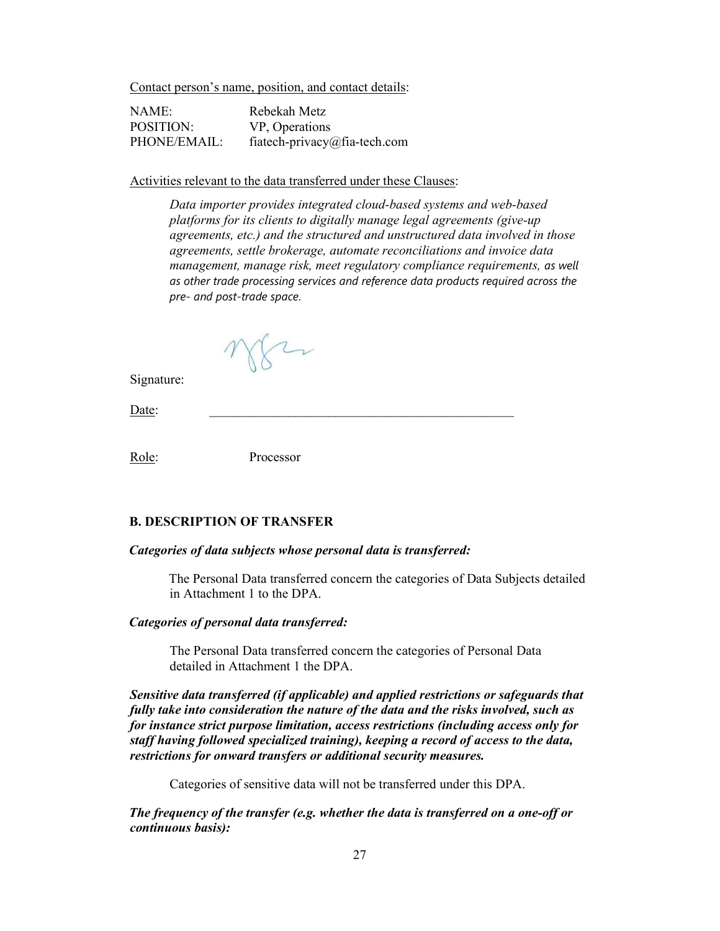Contact person's name, position, and contact details:

| NAME:        | Rebekah Metz                 |
|--------------|------------------------------|
| POSITION:    | VP, Operations               |
| PHONE/EMAIL: | fiatech-privacy@fia-tech.com |

Activities relevant to the data transferred under these Clauses:

Data importer provides integrated cloud-based systems and web-based platforms for its clients to digitally manage legal agreements (give-up agreements, etc.) and the structured and unstructured data involved in those agreements, settle brokerage, automate reconciliations and invoice data management, manage risk, meet regulatory compliance requirements, as well as other trade processing services and reference data products required across the pre- and post-trade space.

 $82$ 

Signature:

 $\text{Date:}$ 

Role: Processor

#### B. DESCRIPTION OF TRANSFER

Categories of data subjects whose personal data is transferred:

The Personal Data transferred concern the categories of Data Subjects detailed in Attachment 1 to the DPA.

#### Categories of personal data transferred:

The Personal Data transferred concern the categories of Personal Data detailed in Attachment 1 the DPA.

Sensitive data transferred (if applicable) and applied restrictions or safeguards that fully take into consideration the nature of the data and the risks involved, such as for instance strict purpose limitation, access restrictions (including access only for staff having followed specialized training), keeping a record of access to the data, restrictions for onward transfers or additional security measures.

Categories of sensitive data will not be transferred under this DPA.

The frequency of the transfer (e.g. whether the data is transferred on a one-off or continuous basis):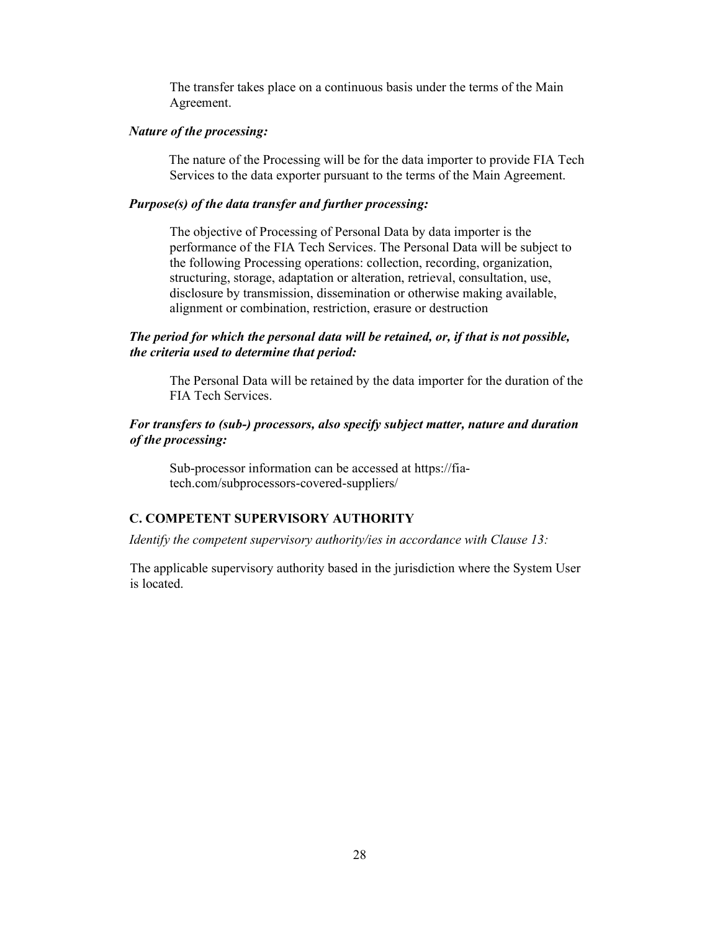The transfer takes place on a continuous basis under the terms of the Main Agreement.

# Nature of the processing:

The nature of the Processing will be for the data importer to provide FIA Tech Services to the data exporter pursuant to the terms of the Main Agreement.

# Purpose(s) of the data transfer and further processing:

The objective of Processing of Personal Data by data importer is the performance of the FIA Tech Services. The Personal Data will be subject to the following Processing operations: collection, recording, organization, structuring, storage, adaptation or alteration, retrieval, consultation, use, disclosure by transmission, dissemination or otherwise making available, alignment or combination, restriction, erasure or destruction

# The period for which the personal data will be retained, or, if that is not possible, the criteria used to determine that period:

The Personal Data will be retained by the data importer for the duration of the FIA Tech Services.

# For transfers to (sub-) processors, also specify subject matter, nature and duration of the processing:

Sub-processor information can be accessed at https://fiatech.com/subprocessors-covered-suppliers/

# C. COMPETENT SUPERVISORY AUTHORITY

Identify the competent supervisory authority/ies in accordance with Clause 13:

The applicable supervisory authority based in the jurisdiction where the System User is located.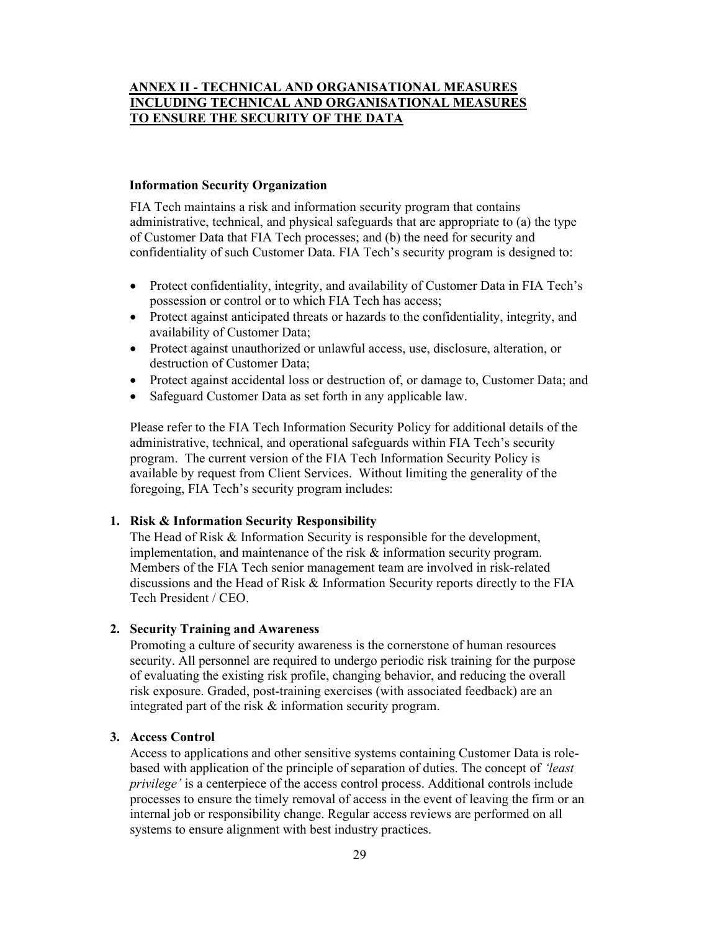# ANNEX II - TECHNICAL AND ORGANISATIONAL MEASURES INCLUDING TECHNICAL AND ORGANISATIONAL MEASURES TO ENSURE THE SECURITY OF THE DATA

#### Information Security Organization

FIA Tech maintains a risk and information security program that contains administrative, technical, and physical safeguards that are appropriate to (a) the type of Customer Data that FIA Tech processes; and (b) the need for security and confidentiality of such Customer Data. FIA Tech's security program is designed to:

- Protect confidentiality, integrity, and availability of Customer Data in FIA Tech's possession or control or to which FIA Tech has access;
- Protect against anticipated threats or hazards to the confidentiality, integrity, and availability of Customer Data;
- Protect against unauthorized or unlawful access, use, disclosure, alteration, or destruction of Customer Data;
- Protect against accidental loss or destruction of, or damage to, Customer Data; and
- Safeguard Customer Data as set forth in any applicable law.

Please refer to the FIA Tech Information Security Policy for additional details of the administrative, technical, and operational safeguards within FIA Tech's security program. The current version of the FIA Tech Information Security Policy is available by request from Client Services. Without limiting the generality of the foregoing, FIA Tech's security program includes:

### 1. Risk & Information Security Responsibility

The Head of Risk & Information Security is responsible for the development, implementation, and maintenance of the risk & information security program. Members of the FIA Tech senior management team are involved in risk-related discussions and the Head of Risk & Information Security reports directly to the FIA Tech President / CEO.

# 2. Security Training and Awareness

Promoting a culture of security awareness is the cornerstone of human resources security. All personnel are required to undergo periodic risk training for the purpose of evaluating the existing risk profile, changing behavior, and reducing the overall risk exposure. Graded, post-training exercises (with associated feedback) are an integrated part of the risk & information security program.

# 3. Access Control

Access to applications and other sensitive systems containing Customer Data is rolebased with application of the principle of separation of duties. The concept of 'least privilege' is a centerpiece of the access control process. Additional controls include processes to ensure the timely removal of access in the event of leaving the firm or an internal job or responsibility change. Regular access reviews are performed on all systems to ensure alignment with best industry practices.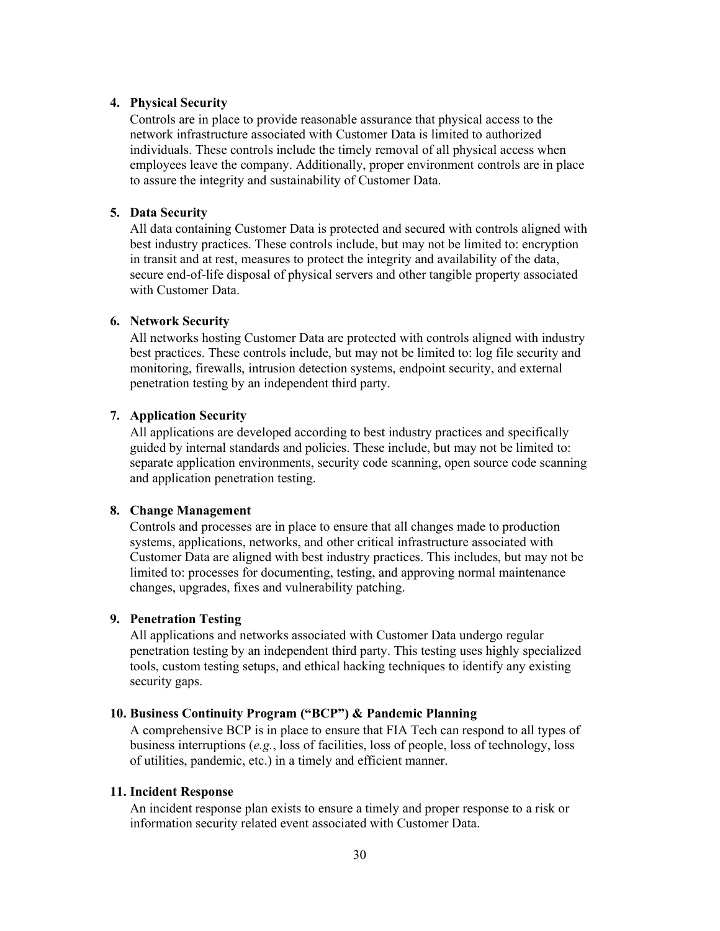# 4. Physical Security

Controls are in place to provide reasonable assurance that physical access to the network infrastructure associated with Customer Data is limited to authorized individuals. These controls include the timely removal of all physical access when employees leave the company. Additionally, proper environment controls are in place to assure the integrity and sustainability of Customer Data.

# 5. Data Security

All data containing Customer Data is protected and secured with controls aligned with best industry practices. These controls include, but may not be limited to: encryption in transit and at rest, measures to protect the integrity and availability of the data, secure end-of-life disposal of physical servers and other tangible property associated with Customer Data.

# 6. Network Security

All networks hosting Customer Data are protected with controls aligned with industry best practices. These controls include, but may not be limited to: log file security and monitoring, firewalls, intrusion detection systems, endpoint security, and external penetration testing by an independent third party.

#### 7. Application Security

All applications are developed according to best industry practices and specifically guided by internal standards and policies. These include, but may not be limited to: separate application environments, security code scanning, open source code scanning and application penetration testing.

# 8. Change Management

Controls and processes are in place to ensure that all changes made to production systems, applications, networks, and other critical infrastructure associated with Customer Data are aligned with best industry practices. This includes, but may not be limited to: processes for documenting, testing, and approving normal maintenance changes, upgrades, fixes and vulnerability patching.

## 9. Penetration Testing

All applications and networks associated with Customer Data undergo regular penetration testing by an independent third party. This testing uses highly specialized tools, custom testing setups, and ethical hacking techniques to identify any existing security gaps.

# 10. Business Continuity Program ("BCP") & Pandemic Planning

A comprehensive BCP is in place to ensure that FIA Tech can respond to all types of business interruptions (e.g., loss of facilities, loss of people, loss of technology, loss of utilities, pandemic, etc.) in a timely and efficient manner.

#### 11. Incident Response

An incident response plan exists to ensure a timely and proper response to a risk or information security related event associated with Customer Data.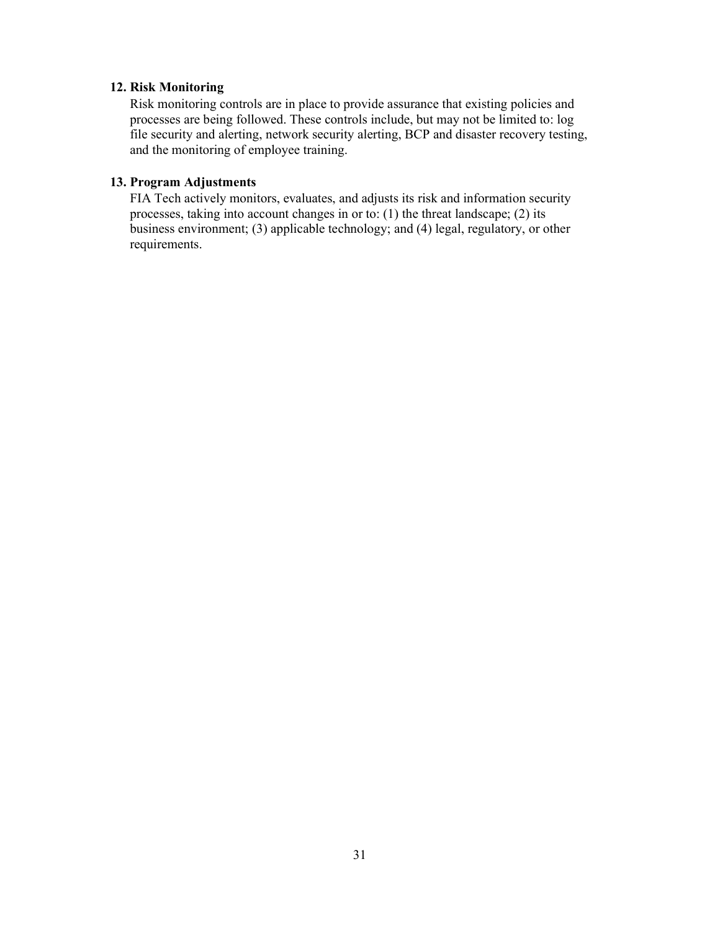# 12. Risk Monitoring

Risk monitoring controls are in place to provide assurance that existing policies and processes are being followed. These controls include, but may not be limited to: log file security and alerting, network security alerting, BCP and disaster recovery testing, and the monitoring of employee training.

# 13. Program Adjustments

FIA Tech actively monitors, evaluates, and adjusts its risk and information security processes, taking into account changes in or to: (1) the threat landscape; (2) its business environment; (3) applicable technology; and (4) legal, regulatory, or other requirements.